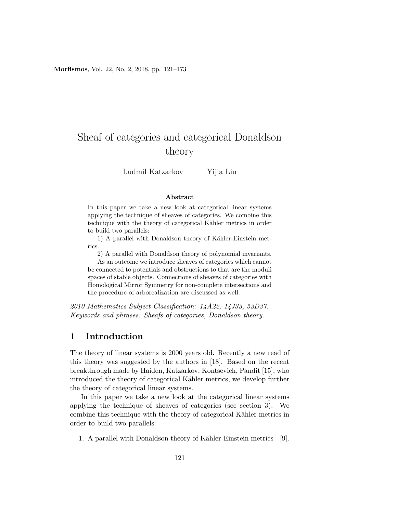# Sheaf of categories and categorical Donaldson theory

Ludmil Katzarkov Yijia Liu

#### Abstract

In this paper we take a new look at categorical linear systems applying the technique of sheaves of categories. We combine this technique with the theory of categorical Kähler metrics in order to build two parallels:

1) A parallel with Donaldson theory of Kähler-Einstein metrics.

2) A parallel with Donaldson theory of polynomial invariants.

As an outcome we introduce sheaves of categories which cannot be connected to potentials and obstructions to that are the moduli spaces of stable objects. Connections of sheaves of categories with Homological Mirror Symmetry for non-complete intersections and the procedure of arborealization are discussed as well.

2010 Mathematics Subject Classification: 14A22, 14J33, 53D37. Keywords and phrases: Sheafs of categories, Donaldson theory.

## 1 Introduction

The theory of linear systems is 2000 years old. Recently a new read of this theory was suggested by the authors in [\[18\]](#page-52-0). Based on the recent breakthrough made by Haiden, Katzarkov, Kontsevich, Pandit [\[15\]](#page-52-1), who introduced the theory of categorical Kähler metrics, we develop further the theory of categorical linear systems.

In this paper we take a new look at the categorical linear systems applying the technique of sheaves of categories (see section [3\)](#page-11-0). We combine this technique with the theory of categorical Kähler metrics in order to build two parallels:

1. A parallel with Donaldson theory of Kähler-Einstein metrics - [\[9\]](#page-51-0).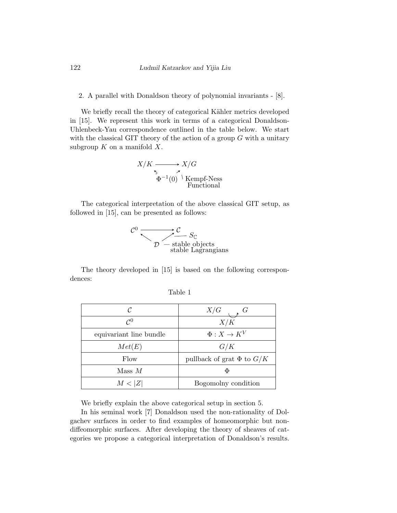#### 2. A parallel with Donaldson theory of polynomial invariants - [\[8\]](#page-51-1).

We briefly recall the theory of categorical Kähler metrics developed in [\[15\]](#page-52-1). We represent this work in terms of a categorical Donaldson-Uhlenbeck-Yau correspondence outlined in the table below. We start with the classical GIT theory of the action of a group  $G$  with a unitary subgroup  $K$  on a manifold  $X$ .

$$
X/K \xrightarrow{\tau} X/G
$$
  
\n
$$
\Phi^{-1}(0) \overset{\checkmark}{\longrightarrow} \text{Kempf-Ness}
$$
  
\nFunctional

The categorical interpretation of the above classical GIT setup, as followed in [\[15\]](#page-52-1), can be presented as follows:

$$
\overbrace{\mathcal{L}}^{c_0} \xrightarrow{\mathcal{L}} \overbrace{\mathcal{L}}^{c} S_{\mathbb{C}}
$$
stable objects  
stable Lagrangians

<span id="page-1-0"></span>The theory developed in [\[15\]](#page-52-1) is based on the following correspondences:

| C                       | X/G                              |
|-------------------------|----------------------------------|
| $\mathcal{C}^0$         | X/K                              |
| equivariant line bundle | $\Phi: X \to K^V$                |
| Met(E)                  | G/K                              |
| Flow                    | pullback of grat $\Phi$ to $G/K$ |
| $Mass\ M$               | Φ                                |
| M< Z                    | Bogomolny condition              |

| adie |  |
|------|--|
|      |  |

We briefly explain the above categorical setup in section [5.](#page-21-0)

In his seminal work [\[7\]](#page-51-2) Donaldson used the non-rationality of Dolgachev surfaces in order to find examples of homeomorphic but nondiffeomorphic surfaces. After developing the theory of sheaves of categories we propose a categorical interpretation of Donaldson's results.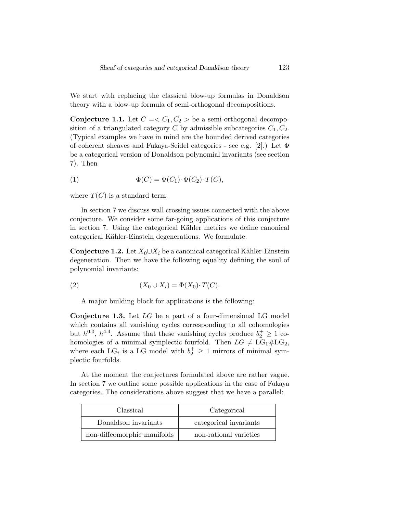We start with replacing the classical blow-up formulas in Donaldson theory with a blow-up formula of semi-orthogonal decompositions.

**Conjecture 1.1.** Let  $C = \langle C_1, C_2 \rangle$  be a semi-orthogonal decomposition of a triangulated category C by admissible subcategories  $C_1, C_2$ . (Typical examples we have in mind are the bounded derived categories of coherent sheaves and Fukaya-Seidel categories - see e.g. [\[2\]](#page-50-0).) Let Φ be a categorical version of Donaldson polynomial invariants (see section [7\)](#page-29-0). Then

(1) 
$$
\Phi(C) = \Phi(C_1) \cdot \Phi(C_2) \cdot T(C),
$$

where  $T(C)$  is a standard term.

In section [7](#page-29-0) we discuss wall crossing issues connected with the above conjecture. We consider some far-going applications of this conjecture in section [7.](#page-29-0) Using the categorical Kähler metrics we define canonical categorical Kähler-Einstein degenerations. We formulate:

**Conjecture 1.2.** Let  $X_0 \cup X_i$  be a canonical categorical Kähler-Einstein degeneration. Then we have the following equality defining the soul of polynomial invariants:

$$
(2) \qquad (X_0 \cup X_i) = \Phi(X_0) \cdot T(C).
$$

A major building block for applications is the following:

<span id="page-2-0"></span>**Conjecture 1.3.** Let  $LG$  be a part of a four-dimensional LG model which contains all vanishing cycles corresponding to all cohomologies but  $h^{0,0}$ ,  $h^{4,4}$ . Assume that these vanishing cycles produce  $b_2^+ \geq 1$  cohomologies of a minimal symplectic fourfold. Then  $LG \neq LG_1 \# LG_2$ , where each LG<sub>i</sub> is a LG model with  $b_2^+ \geq 1$  mirrors of minimal symplectic fourfolds.

At the moment the conjectures formulated above are rather vague. In section [7](#page-29-0) we outline some possible applications in the case of Fukaya categories. The considerations above suggest that we have a parallel:

| Classical                   | Categorical            |
|-----------------------------|------------------------|
| Donaldson invariants        | categorical invariants |
| non-diffeomorphic manifolds | non-rational varieties |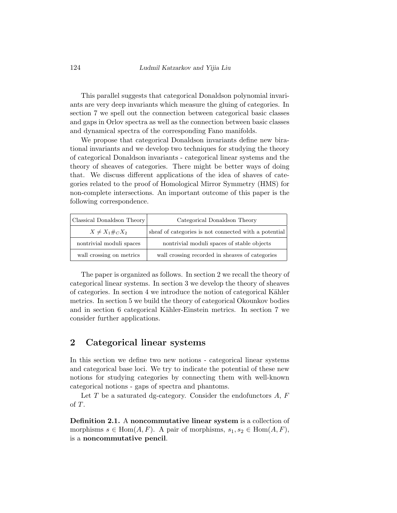This parallel suggests that categorical Donaldson polynomial invariants are very deep invariants which measure the gluing of categories. In section [7](#page-29-0) we spell out the connection between categorical basic classes and gaps in Orlov spectra as well as the connection between basic classes and dynamical spectra of the corresponding Fano manifolds.

We propose that categorical Donaldson invariants define new birational invariants and we develop two techniques for studying the theory of categorical Donaldson invariants - categorical linear systems and the theory of sheaves of categories. There might be better ways of doing that. We discuss different applications of the idea of shaves of categories related to the proof of Homological Mirror Symmetry (HMS) for non-complete intersections. An important outcome of this paper is the following correspondence.

| Classical Donaldson Theory | Categorical Donaldson Theory                          |
|----------------------------|-------------------------------------------------------|
| $X \neq X_1 \#_C X_2$      | sheaf of categories is not connected with a potential |
| nontrivial moduli spaces   | nontrivial moduli spaces of stable objects            |
| wall crossing on metrics   | wall crossing recorded in sheaves of categories       |

The paper is organized as follows. In section [2](#page-3-0) we recall the theory of categorical linear systems. In section [3](#page-11-0) we develop the theory of sheaves of categories. In section [4](#page-20-0) we introduce the notion of categorical Kähler metrics. In section [5](#page-21-0) we build the theory of categorical Okounkov bodies and in section [6](#page-24-0) categorical Kähler-Einstein metrics. In section [7](#page-29-0) we consider further applications.

## <span id="page-3-0"></span>2 Categorical linear systems

In this section we define two new notions - categorical linear systems and categorical base loci. We try to indicate the potential of these new notions for studying categories by connecting them with well-known categorical notions - gaps of spectra and phantoms.

Let  $T$  be a saturated dg-category. Consider the endofunctors  $A, F$ of T.

Definition 2.1. A noncommutative linear system is a collection of morphisms  $s \in \text{Hom}(A, F)$ . A pair of morphisms,  $s_1, s_2 \in \text{Hom}(A, F)$ , is a noncommutative pencil.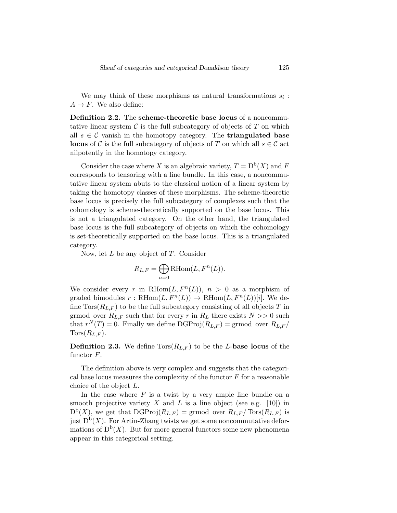We may think of these morphisms as natural transformations  $s_i$ :  $A \rightarrow F$ . We also define:

Definition 2.2. The scheme-theoretic base locus of a noncommutative linear system  $\mathcal C$  is the full subcategory of objects of  $T$  on which all  $s \in \mathcal{C}$  vanish in the homotopy category. The **triangulated base locus** of C is the full subcategory of objects of T on which all  $s \in \mathcal{C}$  act nilpotently in the homotopy category.

Consider the case where X is an algebraic variety,  $T = D^{b}(X)$  and F corresponds to tensoring with a line bundle. In this case, a noncommutative linear system abuts to the classical notion of a linear system by taking the homotopy classes of these morphisms. The scheme-theoretic base locus is precisely the full subcategory of complexes such that the cohomology is scheme-theoretically supported on the base locus. This is not a triangulated category. On the other hand, the triangulated base locus is the full subcategory of objects on which the cohomology is set-theoretically supported on the base locus. This is a triangulated category.

Now, let  $L$  be any object of  $T$ . Consider

$$
R_{L,F} = \bigoplus_{n=0} \text{RHom}(L, F^n(L)).
$$

We consider every r in RHom $(L, F<sup>n</sup>(L))$ ,  $n > 0$  as a morphism of graded bimodules  $r : \mathrm{RHom}(L, F^n(L)) \to \mathrm{RHom}(L, F^n(L))[i]$ . We define  $Tors(R_{L,F})$  to be the full subcategory consisting of all objects T in grmod over  $R_{L,F}$  such that for every r in  $R_L$  there exists  $N >> 0$  such that  $r^{N}(T) = 0$ . Finally we define DGProj $(R_{L,F}) =$  grmod over  $R_{L,F}/$  $Tors(R_{L,F}).$ 

**Definition 2.3.** We define  $Tors(R_{L,F})$  to be the L-base locus of the functor F.

The definition above is very complex and suggests that the categorical base locus measures the complexity of the functor  $F$  for a reasonable choice of the object L.

In the case where  $F$  is a twist by a very ample line bundle on a smooth projective variety X and L is a line object (see e.g. [\[10\]](#page-51-3)) in  $D^{b}(X)$ , we get that  $\mathrm{DGProj}(R_{L,F}) = \mathrm{grmod}$  over  $R_{L,F}/\mathrm{Tors}(R_{L,F})$  is just  $D^b(X)$ . For Artin-Zhang twists we get some noncommutative deformations of  $D^b(X)$ . But for more general functors some new phenomena appear in this categorical setting.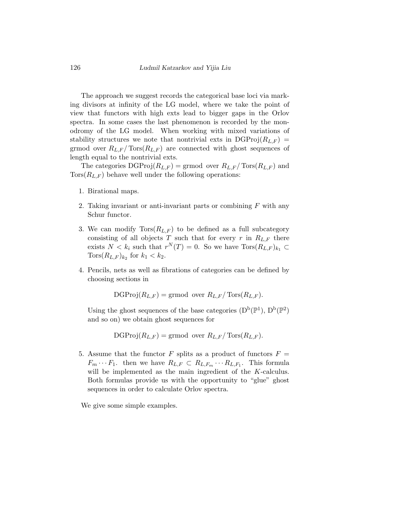The approach we suggest records the categorical base loci via marking divisors at infinity of the LG model, where we take the point of view that functors with high exts lead to bigger gaps in the Orlov spectra. In some cases the last phenomenon is recorded by the monodromy of the LG model. When working with mixed variations of stability structures we note that nontrivial exts in  $\text{DGProj}(R_{L,F}) =$ grmod over  $R_{L,F}/\text{Tors}(R_{L,F})$  are connected with ghost sequences of length equal to the nontrivial exts.

The categories  $\text{DGProj}(R_{L,F}) = \text{grmod}$  over  $R_{L,F}/\text{Tors}(R_{L,F})$  and  $Tors(R<sub>L,F</sub>)$  behave well under the following operations:

- 1. Birational maps.
- 2. Taking invariant or anti-invariant parts or combining  $F$  with any Schur functor.
- 3. We can modify  $Tors(R_{L,F})$  to be defined as a full subcategory consisting of all objects T such that for every r in  $R_{L,F}$  there exists  $N < k_i$  such that  $r^N(T) = 0$ . So we have  $Tors(R_{L,F})_{k_1} \subset$  $Tors(R_{L,F})_{k_2}$  for  $k_1 < k_2$ .
- 4. Pencils, nets as well as fibrations of categories can be defined by choosing sections in

 $\mathrm{DGProj}(R_{L,F}) = \mathrm{grmod}$  over  $R_{L,F}/\mathrm{Tors}(R_{L,F}).$ 

Using the ghost sequences of the base categories  $(D^b(\mathbb{P}^1), D^b(\mathbb{P}^2))$ and so on) we obtain ghost sequences for

 $\mathrm{DGProj}(R_{L,F}) = \mathrm{grmod}$  over  $R_{L,F}/\mathrm{Tors}(R_{L,F}).$ 

5. Assume that the functor F splits as a product of functors  $F =$  $F_m \cdots F_1$ . then we have  $R_{L,F} \subset R_{L,F_m} \cdots R_{L,F_1}$ . This formula will be implemented as the main ingredient of the K-calculus. Both formulas provide us with the opportunity to "glue" ghost sequences in order to calculate Orlov spectra.

We give some simple examples.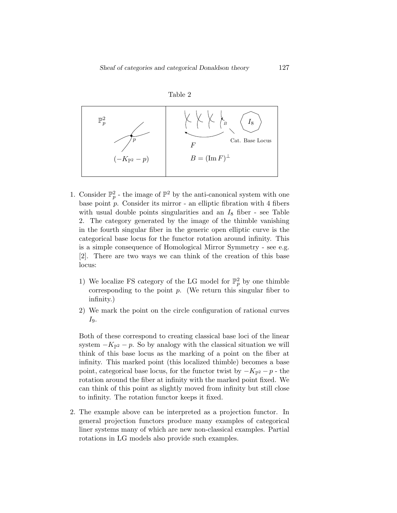

<span id="page-6-0"></span>

- 1. Consider  $\mathbb{P}_p^2$  the image of  $\mathbb{P}^2$  by the anti-canonical system with one base point  $p$ . Consider its mirror - an elliptic fibration with 4 fibers with usual double points singularities and an  $I_8$  fiber - see Table [2.](#page-6-0) The category generated by the image of the thimble vanishing in the fourth singular fiber in the generic open elliptic curve is the categorical base locus for the functor rotation around infinity. This is a simple consequence of Homological Mirror Symmetry - see e.g. [\[2\]](#page-50-0). There are two ways we can think of the creation of this base locus:
	- 1) We localize FS category of the LG model for  $\mathbb{P}_p^2$  by one thimble corresponding to the point  $p$ . (We return this singular fiber to infinity.)
	- 2) We mark the point on the circle configuration of rational curves  $I_9.$

Both of these correspond to creating classical base loci of the linear system  $-K_{\mathbb{P}^2} - p$ . So by analogy with the classical situation we will think of this base locus as the marking of a point on the fiber at infinity. This marked point (this localized thimble) becomes a base point, categorical base locus, for the functor twist by  $-K_{\mathbb{P}^2} - p$  - the rotation around the fiber at infinity with the marked point fixed. We can think of this point as slightly moved from infinity but still close to infinity. The rotation functor keeps it fixed.

2. The example above can be interpreted as a projection functor. In general projection functors produce many examples of categorical liner systems many of which are new non-classical examples. Partial rotations in LG models also provide such examples.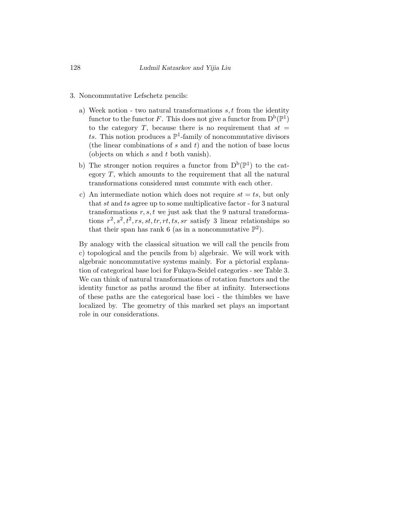- 3. Noncommutative Lefschetz pencils:
	- a) Week notion two natural transformations  $s, t$  from the identity functor to the functor F. This does not give a functor from  $D^b(\mathbb{P}^1)$ to the category T, because there is no requirement that  $st =$ ts. This notion produces a  $\mathbb{P}^1$ -family of noncommutative divisors (the linear combinations of  $s$  and  $t$ ) and the notion of base locus (objects on which s and t both vanish).
	- b) The stronger notion requires a functor from  $D^b(\mathbb{P}^1)$  to the category  $T$ , which amounts to the requirement that all the natural transformations considered must commute with each other.
	- c) An intermediate notion which does not require  $st = ts$ , but only that st and ts agree up to some multiplicative factor - for 3 natural transformations  $r, s, t$  we just ask that the 9 natural transformations  $r^2$ ,  $s^2$ ,  $t^2$ ,  $rs$ ,  $st$ ,  $tr$ ,  $rt$ ,  $ts$ ,  $sr$  satisfy 3 linear relationships so that their span has rank 6 (as in a noncommutative  $\mathbb{P}^2$ ).

By analogy with the classical situation we will call the pencils from c) topological and the pencils from b) algebraic. We will work with algebraic noncommutative systems mainly. For a pictorial explanation of categorical base loci for Fukaya-Seidel categories - see Table [3.](#page-8-0) We can think of natural transformations of rotation functors and the identity functor as paths around the fiber at infinity. Intersections of these paths are the categorical base loci - the thimbles we have localized by. The geometry of this marked set plays an important role in our considerations.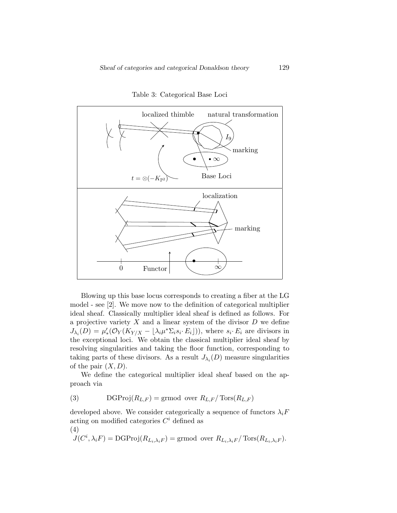<span id="page-8-0"></span>

Table 3: Categorical Base Loci

Blowing up this base locus corresponds to creating a fiber at the LG model - see [\[2\]](#page-50-0). We move now to the definition of categorical multiplier ideal sheaf. Classically multiplier ideal sheaf is defined as follows. For a projective variety  $X$  and a linear system of the divisor  $D$  we define  $J_{\lambda_i}(D) = \mu'_*(\mathcal{O}_Y(K_{Y/X} - \lfloor \lambda_i \mu^* \Sigma_i s_i \cdot E_i \rfloor)),$  where  $s_i \cdot E_i$  are divisors in the exceptional loci. We obtain the classical multiplier ideal sheaf by resolving singularities and taking the floor function, corresponding to taking parts of these divisors. As a result  $J_{\lambda_i}(D)$  measure singularities of the pair  $(X, D)$ .

We define the categorical multiplier ideal sheaf based on the approach via

(3) DGProj $(R_{L,F})$  = grmod over  $R_{L,F}/\text{Tors}(R_{L,F})$ 

developed above. We consider categorically a sequence of functors  $\lambda_i F$ acting on modified categories  $C<sup>i</sup>$  defined as (4)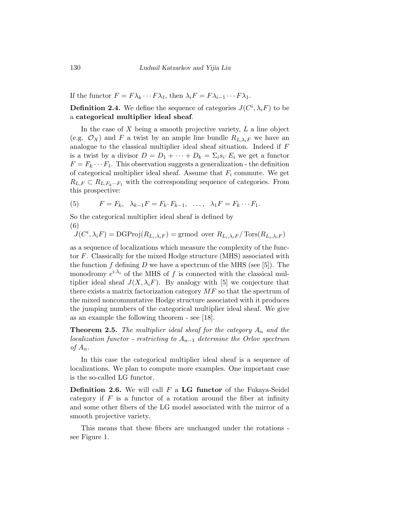If the functor  $F = F\lambda_k \cdots F\lambda_1$ , then  $\lambda_i F = F\lambda_{i-1} \cdots F\lambda_1$ .

**Definition 2.4.** We define the sequence of categories  $J(C^i, \lambda_i F)$  to be a categorical multiplier ideal sheaf.

In the case of  $X$  being a smooth projective variety,  $L$  a line object (e.g.  $\mathcal{O}_X$ ) and F a twist by an ample line bundle  $R_{L,\lambda_i}$  we have an analogue to the classical multiplier ideal sheaf situation. Indeed if F is a twist by a divisor  $D = D_1 + \cdots + D_k = \sum_i s_i \cdot E_i$  we get a functor  $F = F_k \cdots F_1$ . This observation suggests a generalization - the definition of categorical multiplier ideal sheaf. Assume that  $F_i$  commute. We get  $R_{L,F} \subset R_{L,F_k\cdots F_1}$  with the corresponding sequence of categories. From this prospective:

(5) 
$$
F = F_k, \quad \lambda_{k-1} F = F_k \cdot F_{k-1}, \quad \dots, \quad \lambda_1 F = F_k \cdots F_1.
$$

So the categorical multiplier ideal sheaf is defined by (6)

$$
J(C^i, \lambda_i F) = \text{DGProj}(R_{L_i, \lambda_i F}) = \text{grmod over } R_{L_i, \lambda_i F} / \text{Tors}(R_{L_i, \lambda_i F})
$$

as a sequence of localizations which measure the complexity of the functor  $F$ . Classically for the mixed Hodge structure (MHS) associated with the function f defining  $D$  we have a spectrum of the MHS (see [\[5\]](#page-51-4)). The monodromy  $e^{i\lambda_i}$  of the MHS of f is connected with the classical multiplier ideal sheaf  $J(X, \lambda_i F)$ . By analogy with [\[5\]](#page-51-4) we conjecture that there exists a matrix factorization category  $MF$  so that the spectrum of the mixed noncommutative Hodge structure associated with it produces the jumping numbers of the categorical multiplier ideal sheaf. We give as an example the following theorem - see [\[18\]](#page-52-0).

**Theorem 2.5.** The multiplier ideal sheaf for the category  $A_n$  and the localization functor - restricting to  $A_{n-1}$  determine the Orlov spectrum of  $A_n$ .

In this case the categorical multiplier ideal sheaf is a sequence of localizations. We plan to compute more examples. One important case is the so-called LG functor.

**Definition 2.6.** We will call  $F$  a LG functor of the Fukaya-Seidel category if  $F$  is a functor of a rotation around the fiber at infinity and some other fibers of the LG model associated with the mirror of a smooth projective variety.

This means that these fibers are unchanged under the rotations see Figure [1.](#page-10-0)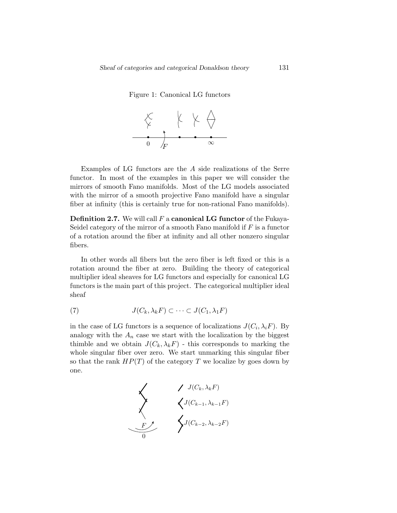<span id="page-10-0"></span>Figure 1: Canonical LG functors



Examples of LG functors are the A side realizations of the Serre functor. In most of the examples in this paper we will consider the mirrors of smooth Fano manifolds. Most of the LG models associated with the mirror of a smooth projective Fano manifold have a singular fiber at infinity (this is certainly true for non-rational Fano manifolds).

**Definition 2.7.** We will call  $F$  a **canonical LG functor** of the Fukaya-Seidel category of the mirror of a smooth Fano manifold if  $F$  is a functor of a rotation around the fiber at infinity and all other nonzero singular fibers.

In other words all fibers but the zero fiber is left fixed or this is a rotation around the fiber at zero. Building the theory of categorical multiplier ideal sheaves for LG functors and especially for canonical LG functors is the main part of this project. The categorical multiplier ideal sheaf

(7) 
$$
J(C_k, \lambda_k F) \subset \cdots \subset J(C_1, \lambda_1 F)
$$

in the case of LG functors is a sequence of localizations  $J(C_i, \lambda_i F)$ . By analogy with the  $A_n$  case we start with the localization by the biggest thimble and we obtain  $J(C_k, \lambda_k F)$  - this corresponds to marking the whole singular fiber over zero. We start unmarking this singular fiber so that the rank  $HP(T)$  of the category T we localize by goes down by one.

$$
\begin{array}{cc}\n & \nearrow J(C_k, \lambda_k F) \\
 & \searrow J(C_{k-1}, \lambda_{k-1} F) \\
 & \searrow J(C_{k-2}, \lambda_{k-2} F) \\
 & \searrow J(C_{k-2}, \lambda_{k-2} F)\n\end{array}
$$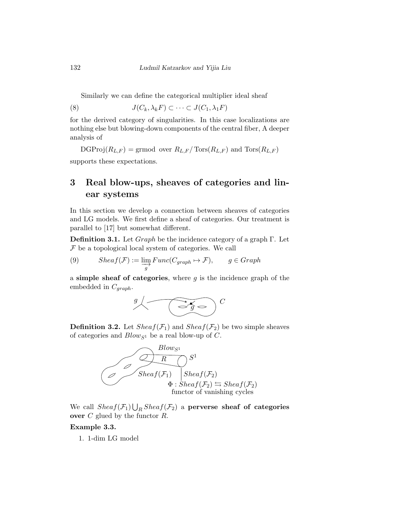Similarly we can define the categorical multiplier ideal sheaf

(8)  $J(C_k, \lambda_k F) \subset \cdots \subset J(C_1, \lambda_1 F)$ 

for the derived category of singularities. In this case localizations are nothing else but blowing-down components of the central fiber, A deeper analysis of

 $\mathrm{DGProj}(R_{L,F}) = \mathrm{grmod}$  over  $R_{L,F}/\mathrm{Tors}(R_{L,F})$  and  $\mathrm{Tors}(R_{L,F})$ supports these expectations.

## <span id="page-11-0"></span>3 Real blow-ups, sheaves of categories and linear systems

In this section we develop a connection between sheaves of categories and LG models. We first define a sheaf of categories. Our treatment is parallel to [\[17\]](#page-52-2) but somewhat different.

**Definition 3.1.** Let  $Graph$  be the incidence category of a graph  $\Gamma$ . Let  $F$  be a topological local system of categories. We call

(9) 
$$
Sheaf(\mathcal{F}) := \varinjlim_{g} Func(C_{graph} \mapsto \mathcal{F}), \qquad g \in Graph
$$

a simple sheaf of categories, where  $g$  is the incidence graph of the embedded in  $C_{graph}$ .



**Definition 3.2.** Let  $Sheaf(\mathcal{F}_1)$  and  $Sheaf(\mathcal{F}_2)$  be two simple sheaves of categories and  $Blow_{S^1}$  be a real blow-up of C.



We call  $Sheaf(\mathcal{F}_1) \bigcup_R Sheaf(\mathcal{F}_2)$  a perverse sheaf of categories over  $C$  glued by the functor  $R$ .

#### Example 3.3.

1. 1-dim LG model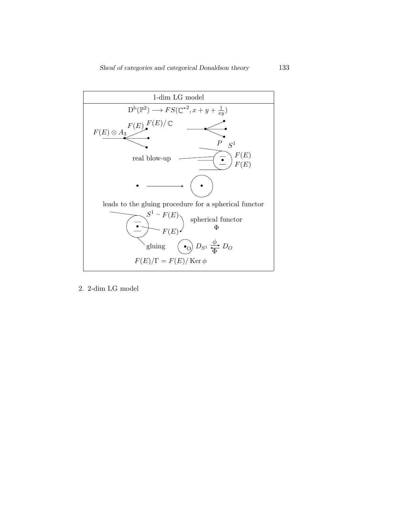

2. 2-dim LG model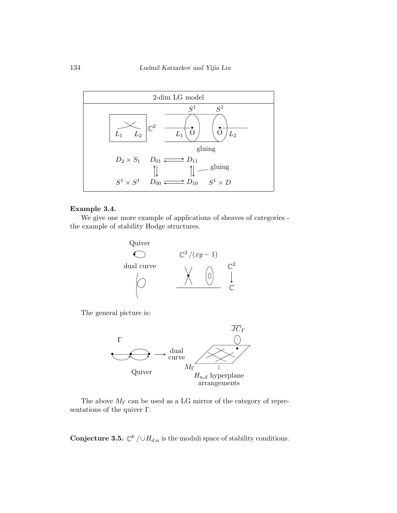

#### Example 3.4.

We give one more example of applications of sheaves of categories the example of stability Hodge structures.



The general picture is:



The above  $M_{\Gamma}$  can be used as a LG mirror of the category of representations of the quiver Γ.

**Conjecture 3.5.**  $\mathbb{C}^k / \cup H_{d,n}$  is the moduli space of stability conditions.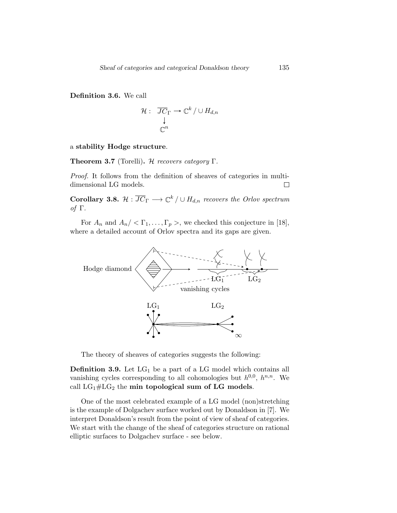Definition 3.6. We call

$$
\mathcal{H}: \begin{array}{c} \overline{JC}_{\Gamma} \to \mathbb{C}^k \, / \cup H_{d,n} \\ \downarrow \\ \mathbb{C}^n \end{array}
$$

a stability Hodge structure.

**Theorem 3.7** (Torelli). H recovers category  $\Gamma$ .

Proof. It follows from the definition of sheaves of categories in multidimensional LG models.  $\Box$ 

**Corollary 3.8.**  $\mathcal{H}: \overline{JC}_{\Gamma} \longrightarrow \mathbb{C}^k / \cup H_{d,n}$  recovers the Orlov spectrum of Γ.

For  $A_n$  and  $A_n \, \langle \, \Gamma_1, \ldots, \Gamma_p \, \rangle$ , we checked this conjecture in [\[18\]](#page-52-0), where a detailed account of Orlov spectra and its gaps are given.



The theory of sheaves of categories suggests the following:

**Definition 3.9.** Let  $LG_1$  be a part of a LG model which contains all vanishing cycles corresponding to all cohomologies but  $h^{0,0}$ ,  $h^{n,n}$ . We call  $LG_1\#LG_2$  the min topological sum of LG models.

One of the most celebrated example of a LG model (non)stretching is the example of Dolgachev surface worked out by Donaldson in [\[7\]](#page-51-2). We interpret Donaldson's result from the point of view of sheaf of categories. We start with the change of the sheaf of categories structure on rational elliptic surfaces to Dolgachev surface - see below.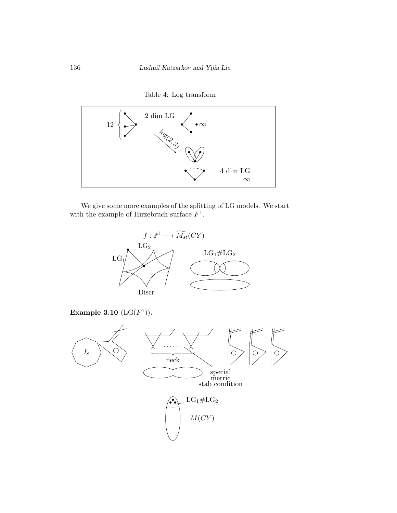

Table 4: Log transform

We give some more examples of the splitting of LG models. We start with the example of Hirzebruch surface  $F^1$ .

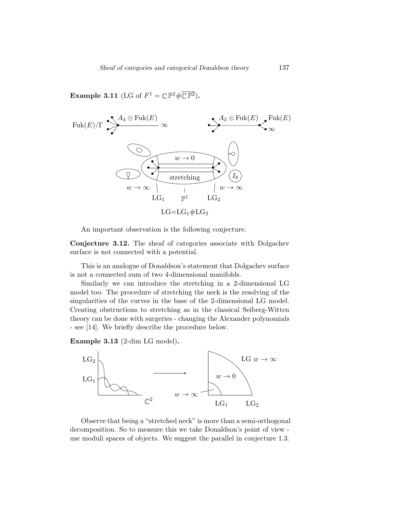**Example 3.11** (LG of  $F^1 = \mathbb{C} \mathbb{P}^2 \# \overline{\mathbb{C} \mathbb{P}^2}$ ).



An important observation is the following conjecture.

Conjecture 3.12. The sheaf of categories associate with Dolgachev surface is not connected with a potential.

This is an analogue of Donaldson's statement that Dolgachev surface is not a connected sum of two 4-dimensional manifolds.

Similarly we can introduce the stretching in a 2-dimensional LG model too. The procedure of stretching the neck is the resolving of the singularities of the curves in the base of the 2-dimensional LG model. Creating obstructions to stretching as in the classical Seiberg-Witten theory can be done with surgeries - changing the Alexander polynomials - see [\[14\]](#page-51-5). We briefly describe the procedure below.

Example 3.13 (2-dim LG model).



Observe that being a "stretched neck" is more than a semi-orthogonal decomposition. So to measure this we take Donaldson's point of view use moduli spaces of objects. We suggest the parallel in conjecture [1.3.](#page-2-0)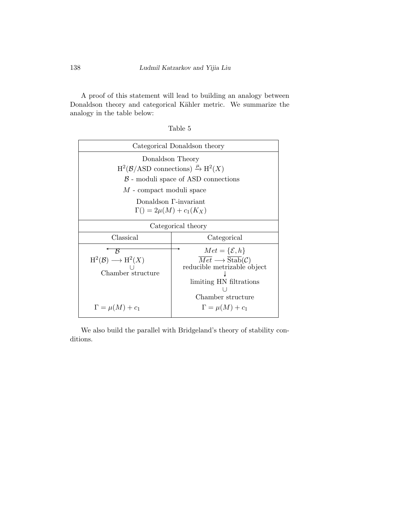A proof of this statement will lead to building an analogy between Donaldson theory and categorical Kähler metric. We summarize the analogy in the table below:

| Table |  |
|-------|--|
|-------|--|

|                                                                                                | Categorical Donaldson theory                                                                                                                                                                                 |  |
|------------------------------------------------------------------------------------------------|--------------------------------------------------------------------------------------------------------------------------------------------------------------------------------------------------------------|--|
| Donaldson Theory                                                                               |                                                                                                                                                                                                              |  |
| $H^2(B/ASD$ connections) $\stackrel{\mu}{\rightarrow} H^2(X)$                                  |                                                                                                                                                                                                              |  |
| $\beta$ - moduli space of ASD connections                                                      |                                                                                                                                                                                                              |  |
| M - compact moduli space                                                                       |                                                                                                                                                                                                              |  |
| Donaldson F-invariant<br>$\Gamma() = 2\mu(M) + c_1(K_X)$                                       |                                                                                                                                                                                                              |  |
| Categorical theory                                                                             |                                                                                                                                                                                                              |  |
| Classical                                                                                      | Categorical                                                                                                                                                                                                  |  |
| ĸ<br>$H^2(\mathcal{B}) \longrightarrow H^2(X)$<br>Chamber structure<br>$\Gamma = \mu(M) + c_1$ | $Met = \{\mathcal{E}, h\}$<br>$\overline{Met} \longrightarrow \overline{\text{Stab}}(\mathcal{C})$<br>reducible metrizable object<br>limiting HN filtrations<br>Chamber structure<br>$\Gamma = \mu(M) + c_1$ |  |

We also build the parallel with Bridgeland's theory of stability conditions.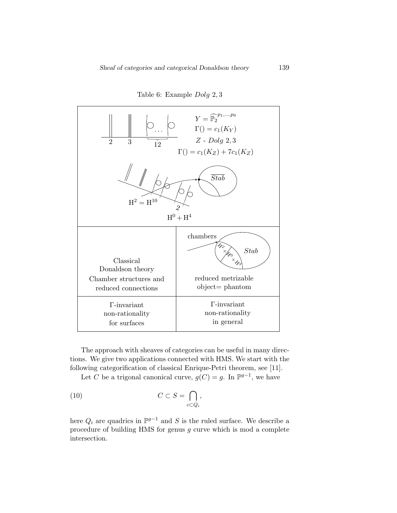

Table 6: Example Dolg 2, 3

The approach with sheaves of categories can be useful in many directions. We give two applications connected with HMS. We start with the following categorification of classical Enrique-Petri theorem, see [\[11\]](#page-51-6).

Let C be a trigonal canonical curve,  $g(C) = g$ . In  $\mathbb{P}^{g-1}$ , we have

(10) 
$$
C \subset S = \bigcap_{c \subset Q_i},
$$

here  $Q_i$  are quadrics in  $\mathbb{P}^{g-1}$  and S is the ruled surface. We describe a procedure of building HMS for genus  $g$  curve which is mod a complete intersection.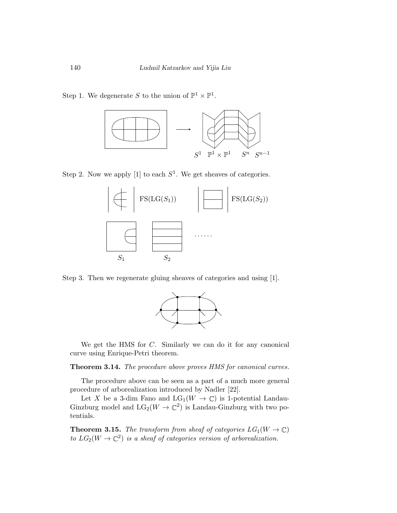Step 1. We degenerate S to the union of  $\mathbb{P}^1 \times \mathbb{P}^1$ .



Step 2. Now we apply [\[1\]](#page-50-1) to each  $S^1$ . We get sheaves of categories.



Step 3. Then we regenerate gluing sheaves of categories and using [\[1\]](#page-50-1).



We get the HMS for C. Similarly we can do it for any canonical curve using Enrique-Petri theorem.

Theorem 3.14. The procedure above proves HMS for canonical curves.

The procedure above can be seen as a part of a much more general procedure of arborealization introduced by Nadler [\[22\]](#page-52-3).

Let X be a 3-dim Fano and  $LG_1(W \to \mathbb{C})$  is 1-potential Landau-Ginzburg model and  $LG_2(W \to \mathbb{C}^2)$  is Landau-Ginzburg with two potentials.

**Theorem 3.15.** The transform from sheaf of categories  $LG_1(W \to \mathbb{C})$ to  $LG_2(W \to \mathbb{C}^2)$  is a sheaf of categories version of arborealization.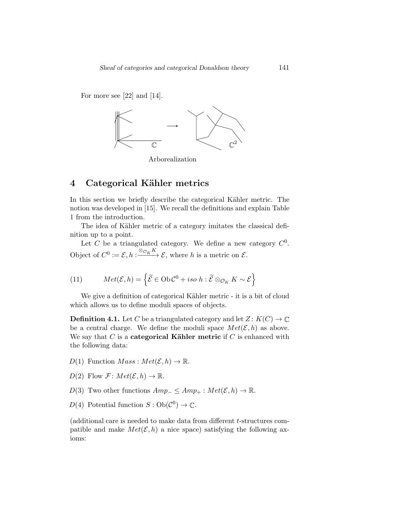For more see [\[22\]](#page-52-3) and [\[14\]](#page-51-5).



Arborealization

## <span id="page-20-0"></span>4 Categorical Kähler metrics

In this section we briefly describe the categorical Kähler metric. The notion was developed in [\[15\]](#page-52-1). We recall the definitions and explain Table [1](#page-1-0) from the introduction.

The idea of Kähler metric of a category imitates the classical definition up to a point.

Let C be a triangulated category. We define a new category  $C^0$ . Object of  $C^0 := \mathcal{E}, h : \frac{\otimes_{\mathcal{O}_K} K}{\otimes_{\mathcal{O}_K} K} \mathcal{E}$ , where h is a metric on  $\mathcal{E}$ .

(11) 
$$
Met(\mathcal{E}, h) = \left\{ \widetilde{\mathcal{E}} \in Ob \mathcal{C}^0 + iso \ h : \widetilde{\mathcal{E}} \otimes_{\mathcal{O}_K} K \sim \mathcal{E} \right\}
$$

We give a definition of categorical Kähler metric - it is a bit of cloud which allows us to define moduli spaces of objects.

**Definition 4.1.** Let C be a triangulated category and let  $Z: K(C) \to \mathbb{C}$ be a central charge. We define the moduli space  $Met(\mathcal{E}, h)$  as above. We say that C is a **categorical Kähler metric** if C is enhanced with the following data:

- $D(1)$  Function  $Mass: Met(\mathcal{E}, h) \to \mathbb{R}$ .
- $D(2)$  Flow  $\mathcal{F}$ :  $Met(\mathcal{E}, h) \rightarrow \mathbb{R}$ .
- D(3) Two other functions  $Amp_-\leq Amp_+ : Met(\mathcal{E}, h) \to \mathbb{R}$ .
- $D(4)$  Potential function  $S: Ob(\mathcal{C}^0) \to \mathbb{C}$ .

(additional care is needed to make data from different t-structures compatible and make  $Met(\mathcal{E}, h)$  a nice space) satisfying the following axioms: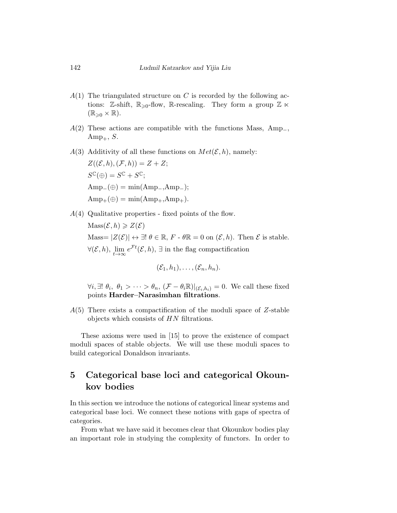- $A(1)$  The triangulated structure on C is recorded by the following actions: Z-shift,  $\mathbb{R}_{\geq 0}$ -flow,  $\mathbb{R}$ -rescaling. They form a group Z  $\ltimes$  $(\mathbb{R}_{\geqslant 0} \times \mathbb{R}).$
- $A(2)$  These actions are compatible with the functions Mass, Amp<sub>-</sub>,  $Amp_{+}, S.$
- $A(3)$  Additivity of all these functions on  $Met(\mathcal{E}, h)$ , namely:

$$
Z((\mathcal{E}, h), (\mathcal{F}, h)) = Z + Z;
$$
  
\n
$$
S^{\mathbb{C}}(\oplus) = S^{\mathbb{C}} + S^{\mathbb{C}};
$$
  
\n
$$
Amp_{-}(\oplus) = \min(Amp_{-}, Amp_{-});
$$
  
\n
$$
Amp_{+}(\oplus) = \min(Amp_{+}, Amp_{+}).
$$

 $A(4)$  Qualitative properties - fixed points of the flow.

 $\text{Mass}(\mathcal{E}, h) \geqslant Z(\mathcal{E})$ Mass=  $|Z(\mathcal{E})| \leftrightarrow \exists! \ \theta \in \mathbb{R}, F \cdot \theta \mathbb{R} = 0$  on  $(\mathcal{E}, h)$ . Then  $\mathcal{E}$  is stable.  $\forall (\mathcal{E}, h), \lim_{t \to \infty} e^{\mathcal{F}t}(\mathcal{E}, h), \exists \text{ in the flag compactification}$ 

$$
(\mathcal{E}_1,h_1),\ldots,(\mathcal{E}_n,h_n).
$$

 $\forall i, \exists ! \ \theta_i, \ \theta_1 > \cdots > \theta_n, \ (\mathcal{F} - \theta_i \mathbb{R})|_{(\mathcal{E}_i, h_i)} = 0.$  We call these fixed points Harder–Narasimhan filtrations.

 $A(5)$  There exists a compactification of the moduli space of Z-stable objects which consists of HN filtrations.

These axioms were used in [\[15\]](#page-52-1) to prove the existence of compact moduli spaces of stable objects. We will use these moduli spaces to build categorical Donaldson invariants.

## <span id="page-21-0"></span>5 Categorical base loci and categorical Okounkov bodies

In this section we introduce the notions of categorical linear systems and categorical base loci. We connect these notions with gaps of spectra of categories.

From what we have said it becomes clear that Okounkov bodies play an important role in studying the complexity of functors. In order to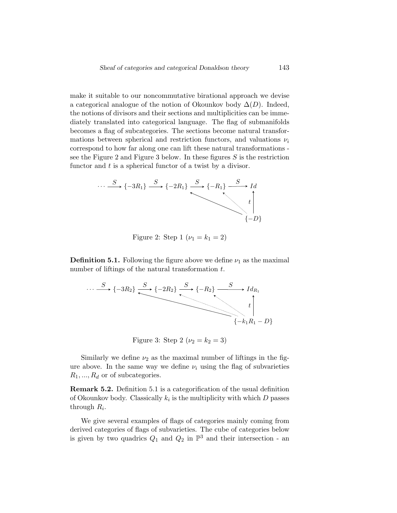make it suitable to our noncommutative birational approach we devise a categorical analogue of the notion of Okounkov body  $\Delta(D)$ . Indeed, the notions of divisors and their sections and multiplicities can be immediately translated into categorical language. The flag of submanifolds becomes a flag of subcategories. The sections become natural transformations between spherical and restriction functors, and valuations  $\nu_i$ correspond to how far along one can lift these natural transformations - see the Figure [2](#page-22-0) and Figure [3](#page-22-1) below. In these figures  $S$  is the restriction functor and  $t$  is a spherical functor of a twist by a divisor.

<span id="page-22-0"></span>
$$
\cdots \xrightarrow{S} \{-3R_1\} \xrightarrow{S} \{-2R_1\} \xrightarrow{S} \{-R_1\} \xrightarrow{S} Id
$$
  

$$
t \downarrow
$$
  

$$
\{-D\}
$$

Figure 2: Step 1 ( $\nu_1 = k_1 = 2$ )

<span id="page-22-2"></span>**Definition 5.1.** Following the figure above we define  $\nu_1$  as the maximal number of liftings of the natural transformation  $t$ .

<span id="page-22-1"></span>
$$
\cdots \xrightarrow{S} \{-3R_2\} \xrightarrow{S} \{-2R_2\} \xrightarrow{S} \{-R_2\} \xrightarrow{Id_{R_1}} t
$$
\n
$$
\uparrow t
$$
\n
$$
\uparrow t
$$
\n
$$
\uparrow t
$$
\n
$$
\uparrow t
$$
\n
$$
\uparrow t
$$
\n
$$
\uparrow t
$$
\n
$$
\uparrow t
$$
\n
$$
\uparrow t
$$
\n
$$
\uparrow t
$$
\n
$$
\uparrow t
$$
\n
$$
\uparrow t
$$
\n
$$
\uparrow t
$$
\n
$$
\uparrow t
$$
\n
$$
\uparrow t
$$
\n
$$
\uparrow t
$$
\n
$$
\uparrow t
$$
\n
$$
\uparrow t
$$
\n
$$
\uparrow t
$$
\n
$$
\uparrow t
$$
\n
$$
\uparrow t
$$
\n
$$
\uparrow t
$$
\n
$$
\uparrow t
$$
\n
$$
\uparrow t
$$
\n
$$
\uparrow t
$$
\n
$$
\uparrow t
$$
\n
$$
\uparrow t
$$
\n
$$
\uparrow t
$$
\n
$$
\uparrow t
$$
\n
$$
\uparrow t
$$
\n
$$
\uparrow t
$$
\n
$$
\uparrow t
$$
\n
$$
\uparrow t
$$
\n
$$
\uparrow t
$$
\n
$$
\uparrow t
$$
\n
$$
\uparrow t
$$
\n
$$
\uparrow t
$$
\n
$$
\uparrow t
$$
\n
$$
\uparrow t
$$
\n
$$
\uparrow t
$$
\n
$$
\uparrow t
$$
\n
$$
\uparrow t
$$
\n
$$
\uparrow t
$$
\n
$$
\uparrow t
$$
\n
$$
\uparrow t
$$
\n
$$
\uparrow t
$$
\n
$$
\uparrow t
$$
\n
$$
\uparrow t
$$
\n
$$
\uparrow t
$$
\n
$$
\uparrow t
$$
\n
$$
\uparrow t
$$
\n
$$
\uparrow t
$$
\n
$$
\uparrow t
$$
\n
$$
\uparrow t
$$
\n
$$
\uparrow t
$$

Figure 3: Step 2 ( $\nu_2 = k_2 = 3$ )

Similarly we define  $\nu_2$  as the maximal number of liftings in the figure above. In the same way we define  $\nu_i$  using the flag of subvarieties  $R_1, ..., R_d$  or of subcategories.

Remark 5.2. Definition [5.1](#page-22-2) is a categorification of the usual definition of Okounkov body. Classically  $k_i$  is the multiplicity with which  $D$  passes through  $R_i$ .

We give several examples of flags of categories mainly coming from derived categories of flags of subvarieties. The cube of categories below is given by two quadrics  $Q_1$  and  $Q_2$  in  $\mathbb{P}^3$  and their intersection - an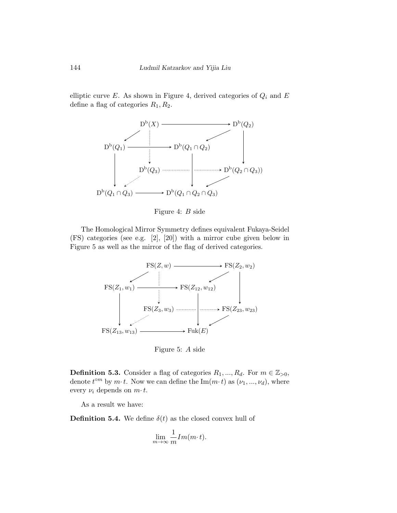<span id="page-23-0"></span>elliptic curve  $E$ . As shown in Figure [4,](#page-23-0) derived categories of  $Q_i$  and  $E$ define a flag of categories  $R_1, R_2$ .



Figure 4: B side

The Homological Mirror Symmetry defines equivalent Fukaya-Seidel (FS) categories (see e.g. [\[2\]](#page-50-0), [\[20\]](#page-52-4)) with a mirror cube given below in Figure [5](#page-23-1) as well as the mirror of the flag of derived categories.

<span id="page-23-1"></span>

Figure 5: A side

**Definition 5.3.** Consider a flag of categories  $R_1, ..., R_d$ . For  $m \in \mathbb{Z}_{>0}$ , denote  $t^{\circ m}$  by  $m \cdot t$ . Now we can define the  $\text{Im}(m \cdot t)$  as  $(\nu_1, ..., \nu_d)$ , where every  $\nu_i$  depends on  $m \tcdot t$ .

As a result we have:

**Definition 5.4.** We define  $\delta(t)$  as the closed convex hull of

$$
\lim_{m \to \infty} \frac{1}{m} Im(m \cdot t).
$$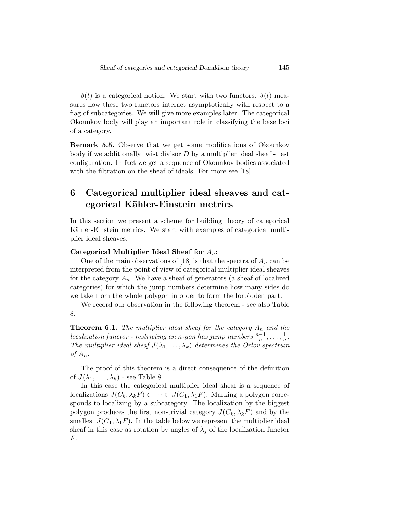$\delta(t)$  is a categorical notion. We start with two functors.  $\delta(t)$  measures how these two functors interact asymptotically with respect to a flag of subcategories. We will give more examples later. The categorical Okounkov body will play an important role in classifying the base loci of a category.

Remark 5.5. Observe that we get some modifications of Okounkov body if we additionally twist divisor  $D$  by a multiplier ideal sheaf - test configuration. In fact we get a sequence of Okounkov bodies associated with the filtration on the sheaf of ideals. For more see [\[18\]](#page-52-0).

## <span id="page-24-0"></span>6 Categorical multiplier ideal sheaves and categorical Kähler-Einstein metrics

In this section we present a scheme for building theory of categorical Kähler-Einstein metrics. We start with examples of categorical multiplier ideal sheaves.

#### Categorical Multiplier Ideal Sheaf for  $A_n$ :

One of the main observations of [\[18\]](#page-52-0) is that the spectra of  $A_n$  can be interpreted from the point of view of categorical multiplier ideal sheaves for the category  $A_n$ . We have a sheaf of generators (a sheaf of localized categories) for which the jump numbers determine how many sides do we take from the whole polygon in order to form the forbidden part.

We record our observation in the following theorem - see also Table [8.](#page-25-0)

<span id="page-24-1"></span>**Theorem 6.1.** The multiplier ideal sheaf for the category  $A_n$  and the  $localization\ function$  - restricting an n-gon has jump numbers  $\frac{n-1}{n}, \ldots, \frac{1}{n}$  $\frac{1}{n}$ . The multiplier ideal sheaf  $J(\lambda_1, \ldots, \lambda_k)$  determines the Orlov spectrum of  $A_n$ .

The proof of this theorem is a direct consequence of the definition of  $J(\lambda_1, \ldots, \lambda_k)$  - see Table [8.](#page-25-0)

In this case the categorical multiplier ideal sheaf is a sequence of localizations  $J(C_k, \lambda_k F) \subset \cdots \subset J(C_1, \lambda_1 F)$ . Marking a polygon corresponds to localizing by a subcategory. The localization by the biggest polygon produces the first non-trivial category  $J(C_k, \lambda_k F)$  and by the smallest  $J(C_1, \lambda_1 F)$ . In the table below we represent the multiplier ideal sheaf in this case as rotation by angles of  $\lambda_i$  of the localization functor F.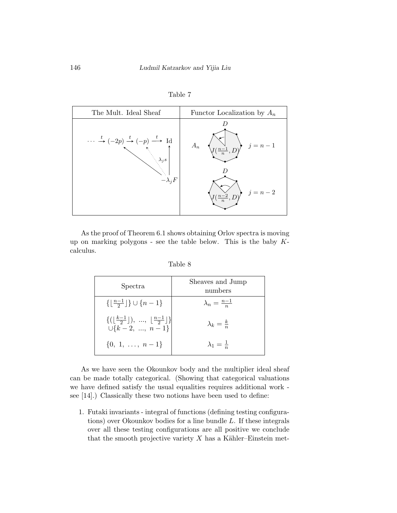

Table 7

<span id="page-25-0"></span>As the proof of Theorem [6.1](#page-24-1) shows obtaining Orlov spectra is moving up on marking polygons - see the table below. This is the baby  $K$ calculus.

| Spectra                                                                                                                   | Sheaves and Jump<br>numbers |
|---------------------------------------------------------------------------------------------------------------------------|-----------------------------|
| $\{\lfloor \frac{n-1}{2}\rfloor\} \cup \{n-1\}$                                                                           | $\lambda_n = \frac{n-1}{n}$ |
| $\{(\lfloor\frac{k-1}{2}\rfloor), \ldots, \lfloor\frac{n-1}{2}\rfloor\}$<br>$\bigcup \{\vec{k} - 2, \dots, \vec{n} - 1\}$ | $\lambda_k = \frac{k}{n}$   |
| $\{0, 1, \ldots, n-1\}$                                                                                                   | $\lambda_1=\frac{1}{n}$     |

Table 8

As we have seen the Okounkov body and the multiplier ideal sheaf can be made totally categorical. (Showing that categorical valuations we have defined satisfy the usual equalities requires additional work see [\[14\]](#page-51-5).) Classically these two notions have been used to define:

1. Futaki invariants - integral of functions (defining testing configurations) over Okounkov bodies for a line bundle L. If these integrals over all these testing configurations are all positive we conclude that the smooth projective variety  $X$  has a Kähler–Einstein met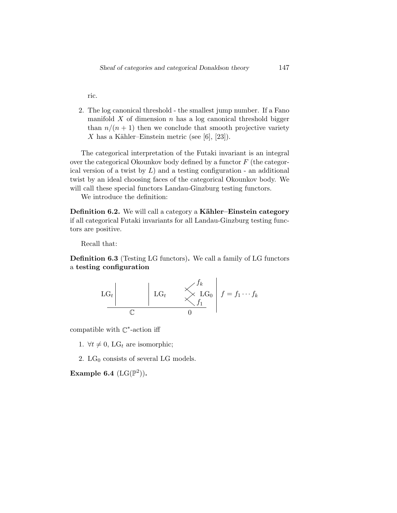ric.

2. The log canonical threshold - the smallest jump number. If a Fano manifold  $X$  of dimension  $n$  has a log canonical threshold bigger than  $n/(n+1)$  then we conclude that smooth projective variety X has a Kähler–Einstein metric (see [\[6\]](#page-51-7), [\[23\]](#page-52-5)).

The categorical interpretation of the Futaki invariant is an integral over the categorical Okounkov body defined by a functor  $F$  (the categorical version of a twist by  $L$ ) and a testing configuration - an additional twist by an ideal choosing faces of the categorical Okounkov body. We will call these special functors Landau-Ginzburg testing functors.

We introduce the definition:

Definition 6.2. We will call a category a Kähler–Einstein category if all categorical Futaki invariants for all Landau-Ginzburg testing functors are positive.

Recall that:

Definition 6.3 (Testing LG functors). We call a family of LG functors a testing configuration

$$
\begin{array}{c|c|c}\n\text{LG}_t & \swarrow & \mathbf{LG}_0 & f = f_1 \cdots f_k \\
\hline\n\mathbb{C} & 0 & \n\end{array}
$$

compatible with  $\mathbb{C}^*$ -action iff

1.  $\forall t \neq 0$ , LG<sub>t</sub> are isomorphic;

2.  $LG_0$  consists of several LG models.

Example 6.4  $(LG(\mathbb{P}^2))$ .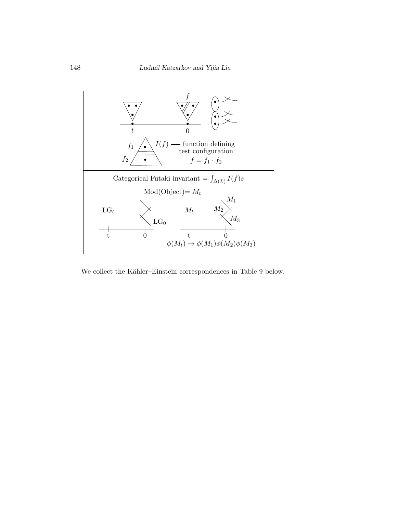

We collect the Kähler–Einstein correspondences in Table [9](#page-28-0) below.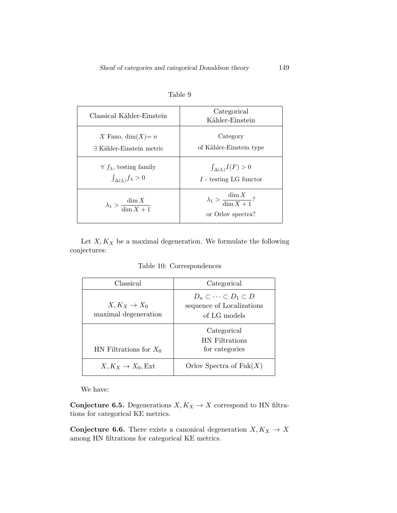<span id="page-28-0"></span>

| Classical Kähler-Einstein               | Categorical<br>Kähler-Einstein                                 |
|-----------------------------------------|----------------------------------------------------------------|
| X Fano, $dim(X) = n$                    | Category                                                       |
| $\exists$ Kähler-Einstein metric        | of Kähler-Einstein type                                        |
| $\forall f_{\lambda}$ , testing family  | $\int_{\Delta(L)} I(F) > 0$                                    |
| $\int_{\Delta(L)} f_{\lambda} > 0$      | $I$ - testing LG functor                                       |
| $\lambda_1 > \frac{\dim X}{\dim X + 1}$ | $\lambda_1 > \frac{\dim X}{\dim X + 1}$ ?<br>or Orlov spectra? |

Table 9

Let  $X, K_X$  be a maximal degeneration. We formulate the following conjectures:

Table 10: Correspondences

| Classical                                | Categorical                                                                             |
|------------------------------------------|-----------------------------------------------------------------------------------------|
| $X, K_X \to X_0$<br>maximal degeneration | $D_n \subset \cdots \subset D_1 \subset D$<br>sequence of Localizations<br>of LG models |
|                                          | Categorical<br><b>HN</b> Filtrations                                                    |
| HN Filtrations for $X_0$                 | for categories                                                                          |
| $X, K_X \to X_0$ , Ext                   | Orlov Spectra of $Fuk(X)$                                                               |

We have:

Conjecture 6.5. Degenerations  $X, K_X \to X$  correspond to HN filtrations for categorical KE metrics.

**Conjecture 6.6.** There exists a canonical degeneration  $X, K_X \to X$ among HN filtrations for categorical KE metrics.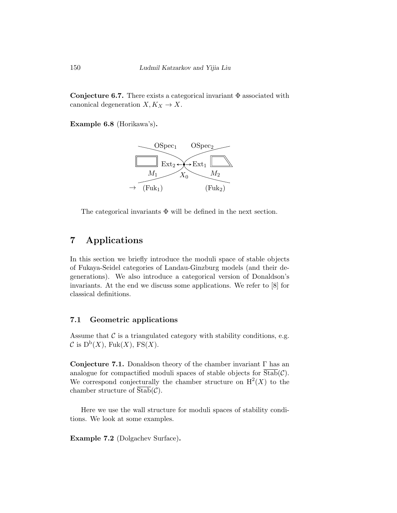Conjecture 6.7. There exists a categorical invariant  $\Phi$  associated with canonical degeneration  $X, K_X \to X$ .

Example 6.8 (Horikawa's).



The categorical invariants  $\Phi$  will be defined in the next section.

## <span id="page-29-0"></span>7 Applications

In this section we briefly introduce the moduli space of stable objects of Fukaya-Seidel categories of Landau-Ginzburg models (and their degenerations). We also introduce a categorical version of Donaldson's invariants. At the end we discuss some applications. We refer to [\[8\]](#page-51-1) for classical definitions.

### 7.1 Geometric applications

Assume that  $\mathcal C$  is a triangulated category with stability conditions, e.g.  $\mathcal{C}$  is  $D^b(X)$ , Fuk $(X)$ , FS $(X)$ .

Conjecture 7.1. Donaldson theory of the chamber invariant  $\Gamma$  has an analogue for compactified moduli spaces of stable objects for  $Stab(\mathcal{C})$ . We correspond conjecturally the chamber structure on  $H<sup>2</sup>(X)$  to the chamber structure of  $Stab(\mathcal{C})$ .

Here we use the wall structure for moduli spaces of stability conditions. We look at some examples.

Example 7.2 (Dolgachev Surface).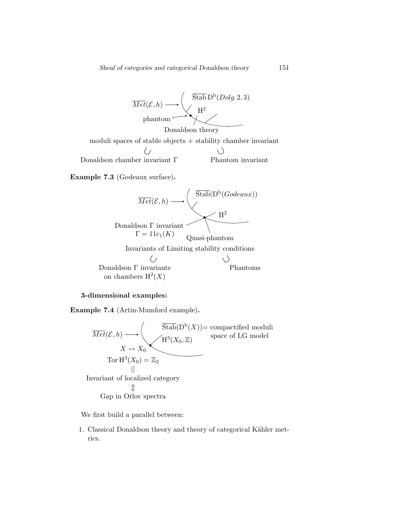

Example 7.3 (Godeaux surface).



#### 3-dimensional examples:

Example 7.4 (Artin-Mumford example).



We first build a parallel between:

1. Classical Donaldson theory and theory of categorical Kähler metrics.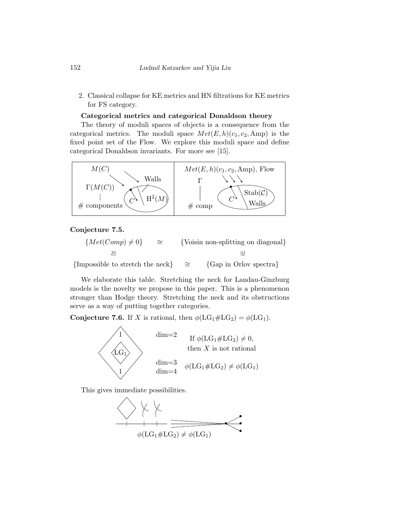2. Classical collapse for KE metrics and HN filtrations for KE metrics for FS category.

#### Categorical metrics and categorical Donaldson theory

The theory of moduli spaces of objects is a consequence from the categorical metrics. The moduli space  $Met(E, h)(c_1, c_2, \text{Amp})$  is the fixed point set of the Flow. We explore this moduli space and define categorical Donaldson invariants. For more see [\[15\]](#page-52-1).



#### Conjecture 7.5.

$$
\{Met(Comp) \neq 0\} \cong \{Voisin \text{ non-splitting on diagonal}\}\
$$

∼= {Impossible to stretch the neck}  $\cong$  {Gap in Orlov spectra}

We elaborate this table. Stretching the neck for Landau-Ginzburg models is the novelty we propose in this paper. This is a phenomenon stronger than Hodge theory. Stretching the neck and its obstructions serve as a way of putting together categories.

**Conjecture 7.6.** If X is rational, then  $\phi(\text{LG}_1 \# \text{LG}_2) = \phi(\text{LG}_1)$ .



This gives immediate possibilities.

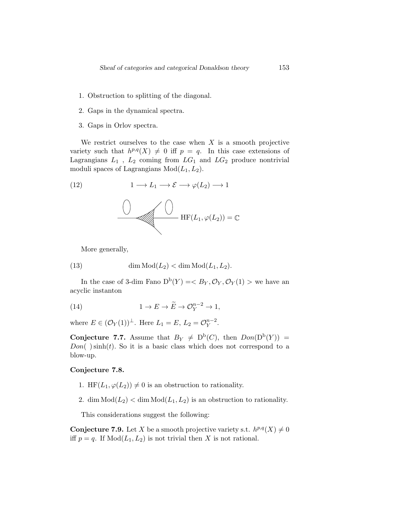- 1. Obstruction to splitting of the diagonal.
- 2. Gaps in the dynamical spectra.
- 3. Gaps in Orlov spectra.

We restrict ourselves to the case when  $X$  is a smooth projective variety such that  $h^{p,q}(X) \neq 0$  iff  $p = q$ . In this case extensions of Lagrangians  $L_1$ ,  $L_2$  coming from  $LG_1$  and  $LG_2$  produce nontrivial moduli spaces of Lagrangians  $Mod(L_1, L_2)$ .

(12) 
$$
1 \longrightarrow L_1 \longrightarrow \mathcal{E} \longrightarrow \varphi(L_2) \longrightarrow 1
$$



More generally,

(13) 
$$
\dim \text{Mod}(L_2) < \dim \text{Mod}(L_1, L_2).
$$

In the case of 3-dim Fano  $D^b(Y) = \langle B_Y, \mathcal{O}_Y, \mathcal{O}_Y(1) \rangle$  we have an acyclic instanton

(14) 
$$
1 \to E \to \widetilde{E} \to \mathcal{O}_Y^{n-2} \to 1,
$$

where  $E \in (\mathcal{O}_Y(1))^{\perp}$ . Here  $L_1 = E, L_2 = \mathcal{O}_Y^{n-2}$  $_{Y}^{n-2}.$ 

**Conjecture 7.7.** Assume that  $B_Y \neq D^b(C)$ , then  $Don(D^b(Y))$  =  $Don( )\sinh(t)$ . So it is a basic class which does not correspond to a blow-up.

#### Conjecture 7.8.

- 1. HF( $L_1, \varphi(L_2)$ )  $\neq 0$  is an obstruction to rationality.
- 2. dim  $Mod(L_2) < dim Mod(L_1, L_2)$  is an obstruction to rationality.

This considerations suggest the following:

**Conjecture 7.9.** Let X be a smooth projective variety s.t.  $h^{p,q}(X) \neq 0$ iff  $p = q$ . If  $Mod(L_1, L_2)$  is not trivial then X is not rational.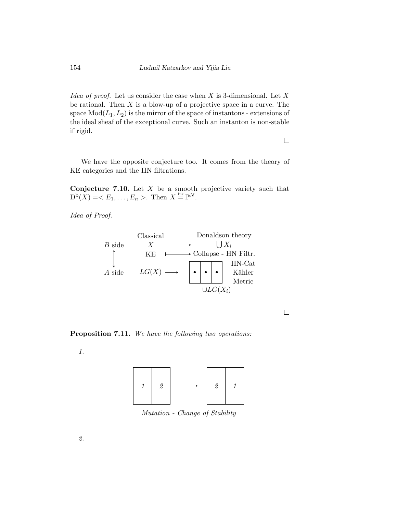Idea of proof. Let us consider the case when  $X$  is 3-dimensional. Let  $X$ be rational. Then  $X$  is a blow-up of a projective space in a curve. The space  $Mod(L_1, L_2)$  is the mirror of the space of instantons - extensions of the ideal sheaf of the exceptional curve. Such an instanton is non-stable if rigid.

 $\Box$ 

We have the opposite conjecture too. It comes from the theory of KE categories and the HN filtrations.

**Conjecture 7.10.** Let  $X$  be a smooth projective variety such that  $D^{\mathrm{b}}(X) = \langle E_1, \ldots, E_n \rangle$ . Then  $X \stackrel{\text{bir}}{=} \mathbb{P}^N$ .

Idea of Proof.



 $\Box$ 

Proposition 7.11. We have the following two operations:

1.



Mutation - Change of Stability

2.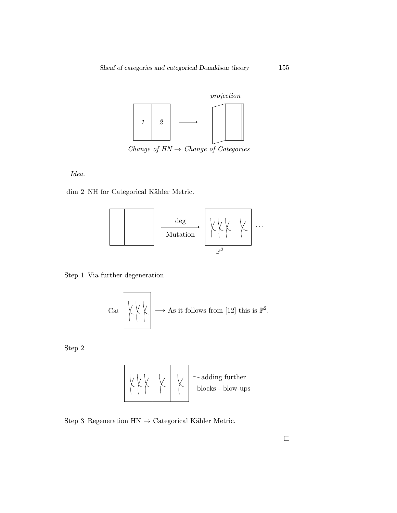

Change of  $HN \rightarrow Change$  of Categories

Idea.

 $\dim$  2 NH for Categorical Kähler Metric.



#### Step 1 Via further degeneration

$$
Cat \begin{pmatrix} \downarrow \downarrow \downarrow \\ \downarrow \downarrow \downarrow \end{pmatrix} \longrightarrow As \text{ it follows from [12] this is } \mathbb{P}^2.
$$

Step 2



Step 3 Regeneration  $HN \rightarrow Categorical$  Kähler Metric.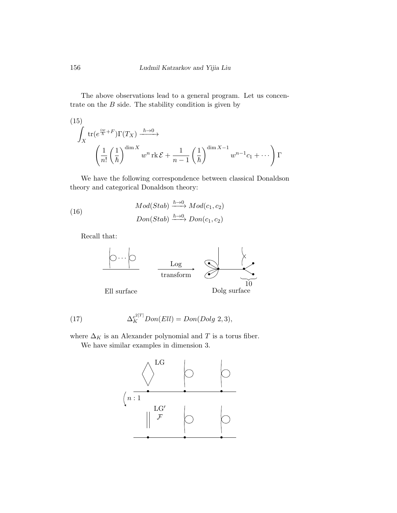The above observations lead to a general program. Let us concentrate on the  $B$  side. The stability condition is given by

(15)  
\n
$$
\int_X tr(e^{\frac{iw}{\hbar}+F})\Gamma(T_X) \xrightarrow{\hbar \to 0} \left(\frac{1}{n!} \left(\frac{1}{\hbar}\right)^{\dim X} w^n \operatorname{rk} \mathcal{E} + \frac{1}{n-1} \left(\frac{1}{\hbar}\right)^{\dim X-1} w^{n-1} c_1 + \cdots \right) \Gamma
$$

We have the following correspondence between classical Donaldson theory and categorical Donaldson theory:

(16) 
$$
Mod(Stab) \xrightarrow{\hbar \to 0} Mod(c_1, c_2)
$$

$$
Don(Stab) \xrightarrow{\hbar \to 0} Don(c_1, c_2)
$$

Recall that:



(17) 
$$
\Delta_K^{e^{2[T]}} Don(Ell) = Don(Dolg\ 2,3),
$$

where  $\Delta_K$  is an Alexander polynomial and  $T$  is a torus fiber.

We have similar examples in dimension 3.

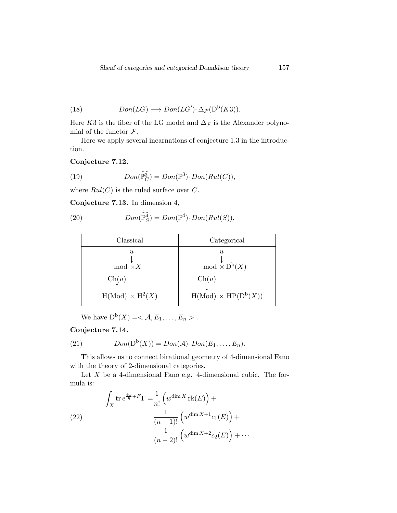(18) 
$$
Don(LG) \longrightarrow Don(LG') \cdot \Delta_{\mathcal{F}}(D^{b}(K3)).
$$

Here K3 is the fiber of the LG model and  $\Delta$ <sub>*F*</sub> is the Alexander polynomial of the functor  $\mathcal{F}$ .

Here we apply several incarnations of conjecture [1.3](#page-2-0) in the introduction.

Conjecture 7.12.

(19) 
$$
Don(\widehat{\mathbb{P}_C^3}) = Don(\mathbb{P}^3) \cdot Don(Rul(C)),
$$

where  $Rul(C)$  is the ruled surface over C.

Conjecture 7.13. In dimension 4,

(20) 
$$
Don(\mathbb{P}_S^4) = Don(\mathbb{P}^4) \cdot Don(Rul(S)).
$$

| Classical              | Categorical                |
|------------------------|----------------------------|
| $\eta_L$               | U                          |
| $mod \times X$         | $mod \times D^b(X)$        |
| $\mathrm{Ch}(u)$       | $\mathrm{Ch}(u)$           |
| $H(Mod) \times H^2(X)$ | $H(Mod) \times HP(D^b(X))$ |

We have  $D^b(X) = \langle A, E_1, \ldots, E_n \rangle$ .

### Conjecture 7.14.

(21) 
$$
Don(D^b(X)) = Don(\mathcal{A}) \cdot Don(E_1, ..., E_n).
$$

This allows us to connect birational geometry of 4-dimensional Fano with the theory of 2-dimensional categories.

Let  $X$  be a 4-dimensional Fano e.g. 4-dimensional cubic. The formula is:

(22)  

$$
\int_X \operatorname{tr} e^{\frac{i w}{\hbar} + F} \Gamma = \frac{1}{n!} \left( w^{\dim X} \operatorname{rk}(E) \right) +
$$

$$
\frac{1}{(n-1)!} \left( w^{\dim X + 1} c_1(E) \right) +
$$

$$
\frac{1}{(n-2)!} \left( w^{\dim X + 2} c_2(E) \right) + \cdots
$$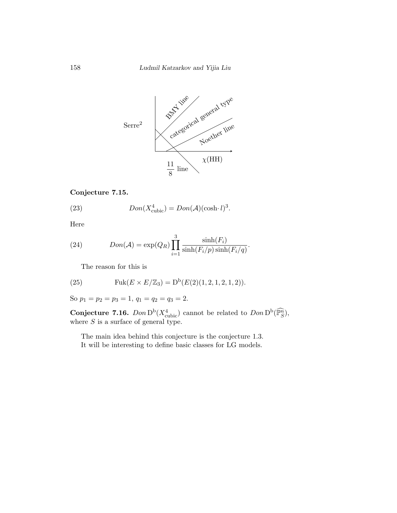

#### Conjecture 7.15.

(23) 
$$
Don(X_{\text{cubic}}^4) = Don(\mathcal{A})(\cosh \cdot l)^3.
$$

Here

(24) 
$$
Don(\mathcal{A}) = \exp(Q_R) \prod_{i=1}^{3} \frac{\sinh(F_i)}{\sinh(F_i/p)\sinh(F_i/q)}.
$$

The reason for this is

(25) 
$$
\text{Fuk}(E \times E/\mathbb{Z}_3) = D^{b}(E(2)(1, 2, 1, 2, 1, 2)).
$$

So  $p_1 = p_2 = p_3 = 1, q_1 = q_2 = q_3 = 2.$ 

**Conjecture 7.16.**  $Dom D^b(X_{\text{cubic}}^4)$  cannot be related to  $Don D^b(\widehat{\mathbb{P}_{S}^n})$ , where  $S$  is a surface of general type.

The main idea behind this conjecture is the conjecture [1.3.](#page-2-0) It will be interesting to define basic classes for LG models.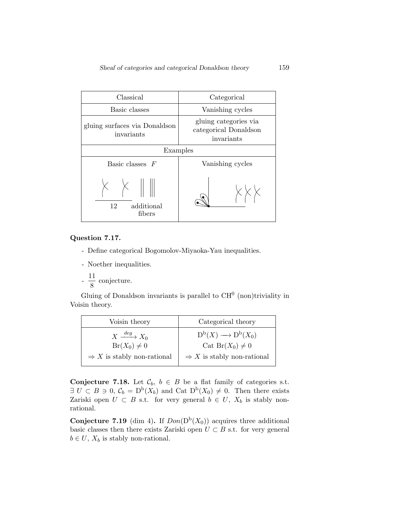| Classical                                   | Categorical                                                  |  |
|---------------------------------------------|--------------------------------------------------------------|--|
| Basic classes                               | Vanishing cycles                                             |  |
| gluing surfaces via Donaldson<br>invariants | gluing categories via<br>categorical Donaldson<br>invariants |  |
| Examples                                    |                                                              |  |
| Basic classes $F$                           | Vanishing cycles                                             |  |
| 12<br>additional<br>fibers                  |                                                              |  |

#### Question 7.17.

- Define categorical Bogomolov-Miyaoka-Yau inequalities.
- Noether inequalities.

- 
$$
\frac{11}{8}
$$
 conjecture.

Gluing of Donaldson invariants is parallel to  $CH<sup>0</sup>$  (non)triviality in Voisin theory.

| Voisin theory                          | Categorical theory                     |
|----------------------------------------|----------------------------------------|
| $X \xrightarrow{deg} X_0$              | $D^b(X) \longrightarrow D^b(X_0)$      |
| $Br(X_0) \neq 0$                       | Cat Br $(X_0) \neq 0$                  |
| $\Rightarrow$ X is stably non-rational | $\Rightarrow$ X is stably non-rational |

**Conjecture 7.18.** Let  $\mathcal{C}_b$ ,  $b \in B$  be a flat family of categories s.t.  $\exists U \subset B \ni 0, \mathcal{C}_b = D^b(X_b)$  and Cat  $D^b(X_0) \neq 0$ . Then there exists Zariski open  $U \subset B$  s.t. for very general  $b \in U$ ,  $X_b$  is stably nonrational.

<span id="page-38-0"></span>**Conjecture 7.19** (dim 4). If  $Don(D^b(X_0))$  acquires three additional basic classes then there exists Zariski open  $U \subset B$  s.t. for very general  $b \in U$ ,  $X_b$  is stably non-rational.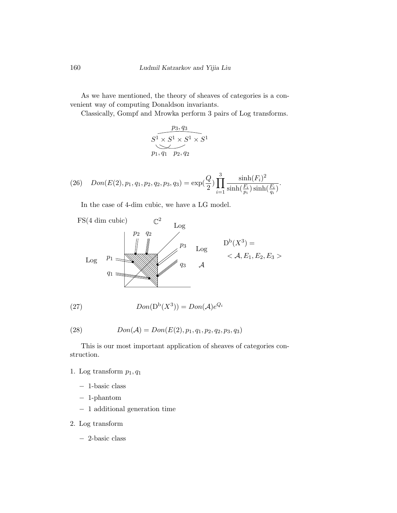As we have mentioned, the theory of sheaves of categories is a convenient way of computing Donaldson invariants.

Classically, Gompf and Mrowka perform 3 pairs of Log transforms.

$$
\overbrace{S^1 \times S^1 \times S^1 \times S^1}^{p_3, q_3}
$$
  
\n
$$
p_1, q_1 \quad p_2, q_2
$$

(26) 
$$
Don(E(2), p_1, q_1, p_2, q_2, p_3, q_3) = \exp(\frac{Q}{2}) \prod_{i=1}^{3} \frac{\sinh(F_i)^2}{\sinh(\frac{F_i}{p_i})\sinh(\frac{F_i}{q_i})}.
$$

In the case of 4-dim cubic, we have a LG model.



(27) 
$$
Don(D^b(X^3)) = Don(\mathcal{A})e^{Q_i}
$$

(28) 
$$
Don(\mathcal{A}) = Don(E(2), p_1, q_1, p_2, q_2, p_3, q_3)
$$

This is our most important application of sheaves of categories construction.

- 1. Log transform  $p_1, q_1$ 
	- − 1-basic class
	- − 1-phantom
	- − 1 additional generation time
- 2. Log transform
	- − 2-basic class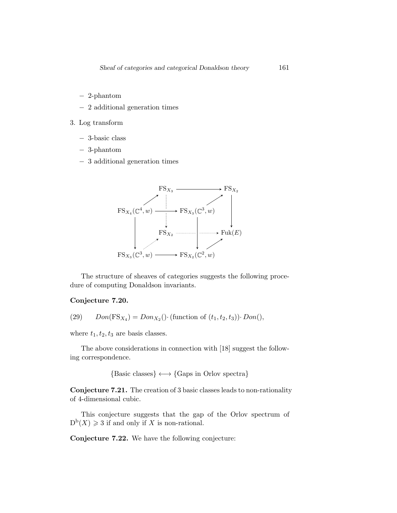- − 2-phantom
- − 2 additional generation times
- 3. Log transform
	- − 3-basic class
	- − 3-phantom
	- − 3 additional generation times



The structure of sheaves of categories suggests the following procedure of computing Donaldson invariants.

#### Conjecture 7.20.

(29) 
$$
Don(FS_{X_4}) = Don_{X_2}(\cdot \text{(function of } (t_1, t_2, t_3)) \cdot Don(),
$$

where  $t_1, t_2, t_3$  are basis classes.

The above considerations in connection with [\[18\]](#page-52-0) suggest the following correspondence.

 ${Basic classes} \longleftrightarrow {Gaps in Orlov spectra}$ 

Conjecture 7.21. The creation of 3 basic classes leads to non-rationality of 4-dimensional cubic.

This conjecture suggests that the gap of the Orlov spectrum of  $D^b(X) \geq 3$  if and only if X is non-rational.

Conjecture 7.22. We have the following conjecture: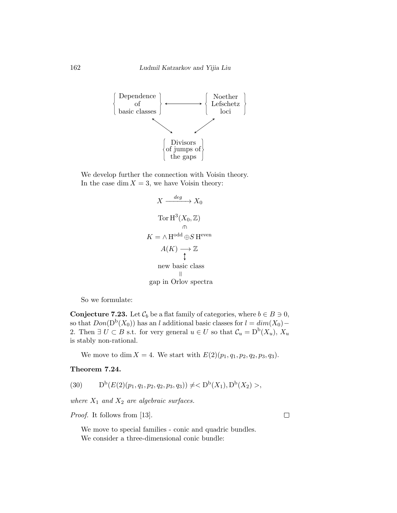

We develop further the connection with Voisin theory. In the case dim  $X = 3$ , we have Voisin theory:

$$
X \xrightarrow{deg} X_0
$$
  
\n
$$
\text{Tor } H^3(X_0, \mathbb{Z})
$$
  
\n
$$
K = \wedge H^{\text{odd}} \oplus S \text{ H}^{\text{even}}
$$
  
\n
$$
A(K) \longrightarrow \mathbb{Z}
$$
  
\nnew basic class  
\n
$$
\parallel
$$
  
\ngap in Orlov spectra

So we formulate:

**Conjecture 7.23.** Let  $\mathcal{C}_b$  be a flat family of categories, where  $b \in B \ni 0$ , so that  $Don(D^b(X_0))$  has an l additional basic classes for  $l = dim(X_0) -$ 2. Then  $\exists U \subset B$  s.t. for very general  $u \in U$  so that  $\mathcal{C}_u = D^b(X_u)$ ,  $X_u$ is stably non-rational.

We move to dim  $X = 4$ . We start with  $E(2)(p_1, q_1, p_2, q_2, p_3, q_3)$ .

b

#### Theorem 7.24.

$$
(30) \tDb(E(2)(p1, q1, p2, q2, p3, q3)) \neq ,
$$

where  $X_1$  and  $X_2$  are algebraic surfaces.

Proof. It follows from [\[13\]](#page-51-9).

We move to special families - conic and quadric bundles. We consider a three-dimensional conic bundle:

 $\Box$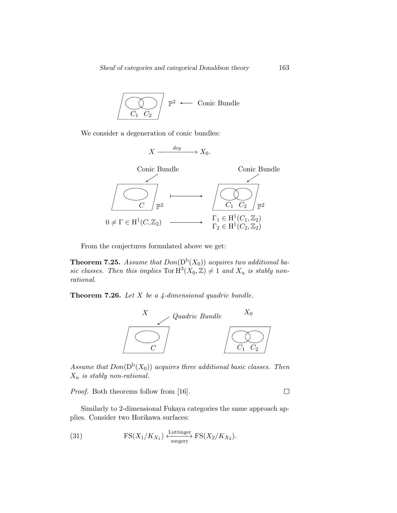$$
\boxed{\bigodot_{C_1 \ C_2}} \mathbb{P}^2 \longleftarrow \text{Conic Bundle}
$$

We consider a degeneration of conic bundles:

$$
X \xrightarrow{deg} X_0.
$$



From the conjectures formulated above we get:

**Theorem 7.25.** Assume that  $Don(D^b(X_0))$  acquires two additional basic classes. Then this implies  $\text{Tor } H^3(X_0, \mathbb{Z}) \neq 1$  and  $X_u$  is stably nonrational.

**Theorem 7.26.** Let  $X$  be a 4-dimensional quadric bundle.



Assume that  $Don(D^b(X_0))$  acquires three additional basic classes. Then  $X_u$  is stably non-rational.

Proof. Both theorems follow from [\[16\]](#page-52-6).

Similarly to 2-dimensional Fukaya categories the same approach applies. Consider two Horikawa surfaces:

(31) 
$$
FS(X_1/K_{X_1}) \xleftarrow{\text{Luttinger}} FS(X_2/K_{X_2}).
$$

 $\Box$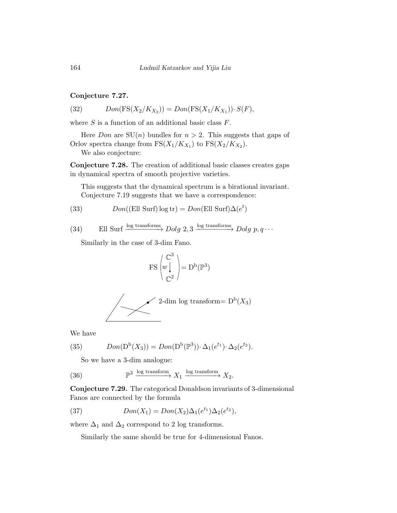#### Conjecture 7.27.

(32) 
$$
Don(FS(X_2/K_{X_2})) = Don(FS(X_1/K_{X_1})) \cdot S(F),
$$

where  $S$  is a function of an additional basic class  $F$ .

Here *Don* are  $SU(n)$  bundles for  $n > 2$ . This suggests that gaps of Orlov spectra change from  $\operatorname{FS}(X_1/K_{X_1})$  to  $\operatorname{FS}(X_2/K_{X_2})$ .

We also conjecture:

Conjecture 7.28. The creation of additional basic classes creates gaps in dynamical spectra of smooth projective varieties.

This suggests that the dynamical spectrum is a birational invariant. Conjecture [7.19](#page-38-0) suggests that we have a correspondence:

(33) 
$$
Don((Ell Surf) log tr) = Don(Ell Surf) \Delta(e^t)
$$

(34) Ell Surf 
$$
\xrightarrow{\log \text{transforms}} Dolg 2, 3 \xrightarrow{\log \text{transforms}} Dolg p, q \cdots
$$

Similarly in the case of 3-dim Fano.

$$
\operatorname{FS}\left(\begin{matrix}\mathbb{C}^3\\ w\downarrow\\ \mathbb{C}^2\end{matrix}\right)=\operatorname{D^b}(\mathbb{P}^3)
$$

$$
\left\{\begin{array}{c}\boxed{\phantom{0}}\\ \phantom{0}\end{array}\right\}
$$
 2-dim log transform=  $D^b(X_3)$ 

We have

(35) 
$$
Don(D^b(X_3)) = Don(D^b(\mathbb{P}^3)) \cdot \Delta_1(e^{t_1}) \cdot \Delta_2(e^{t_2}).
$$

So we have a 3-dim analogue:

(36) 
$$
\mathbb{P}^3 \xrightarrow{\log \text{transform}} X_1 \xrightarrow{\log \text{transform}} X_2.
$$

Conjecture 7.29. The categorical Donaldson invariants of 3-dimensional Fanos are connected by the formula

(37) 
$$
Don(X_1) = Don(X_2)\Delta_1(e^{t_1})\Delta_2(e^{t_2}),
$$

where  $\Delta_1$  and  $\Delta_2$  correspond to 2 log transforms.

Similarly the same should be true for 4-dimensional Fanos.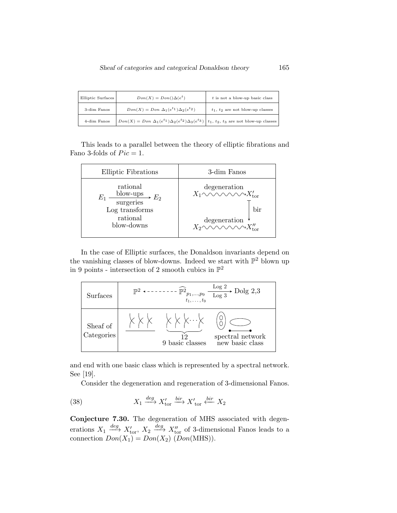| Elliptic Surfaces | $Don(X) = Don() \Delta(e^t)$                                                                                      | $t$ is not a blow-up basic class      |
|-------------------|-------------------------------------------------------------------------------------------------------------------|---------------------------------------|
| 3-dim Fanos       | $Don(X) = Don \Delta_1(e^{t_1})\Delta_2(e^{t_2})$                                                                 | $t_1$ , $t_2$ are not blow-up classes |
| 4-dim Fanos       | $\Box$ $Don(X) = Don \Delta_1(e^{t_1})\Delta_2(e^{t_2})\Delta_3(e^{t_3})   t_1, t_2, t_3$ are not blow-up classes |                                       |

This leads to a parallel between the theory of elliptic fibrations and Fano 3-folds of  $Pic = 1$ .

| <b>Elliptic Fibrations</b>                                                                   | 3-dim Fanos                                                                                                                                                                      |
|----------------------------------------------------------------------------------------------|----------------------------------------------------------------------------------------------------------------------------------------------------------------------------------|
| rational<br>blow-ups $E_2$<br>$E_1$<br>surgeries<br>Log transforms<br>rational<br>blow-downs | degeneration<br>$X_1 \sim \sim \sim \sim \sim X'_{\text{tor}}$<br>bir<br>degeneration $X_2^{\prime\prime}$<br>$X_2^{\prime\prime}$ $\sim\sim\sim\sim X_{\rm tor}^{\prime\prime}$ |

In the case of Elliptic surfaces, the Donaldson invariants depend on the vanishing classes of blow-downs. Indeed we start with  $\mathbb{P}^2$  blown up in 9 points - intersection of 2 smooth cubics in  $\mathbb{P}^2$ 

| Surfaces               | Log 2<br>Dolg $2,3$<br>$\n  D2$<br>$\frac{1}{t_1}$ $\frac{p_1,,p_9}{t_1,,t_9}$ $\frac{108}{\log 3}$                                                |
|------------------------|----------------------------------------------------------------------------------------------------------------------------------------------------|
| Sheaf of<br>Categories | $\times$ $\times$ $\times$ $\cdot$ $\times$<br>$\begin{array}{c} \mbox{spectral network} \\ \mbox{new basic class} \end{array}$<br>9 basic classes |

and end with one basic class which is represented by a spectral network. See [\[19\]](#page-52-7).

Consider the degeneration and regeneration of 3-dimensional Fanos.

(38) 
$$
X_1 \xrightarrow{deg} X'_{\text{tor}} \xrightarrow{bir} X'_{\text{tor}} \xleftarrow{bir} X_2
$$

Conjecture 7.30. The degeneration of MHS associated with degenerations  $X_1 \stackrel{deg}{\longrightarrow} X'_{\text{tor}}$ ,  $X_2 \stackrel{deg}{\longrightarrow} X''_{\text{tor}}$  of 3-dimensional Fanos leads to a connection  $Don(X_1) = Don(X_2) (Don(MHS)).$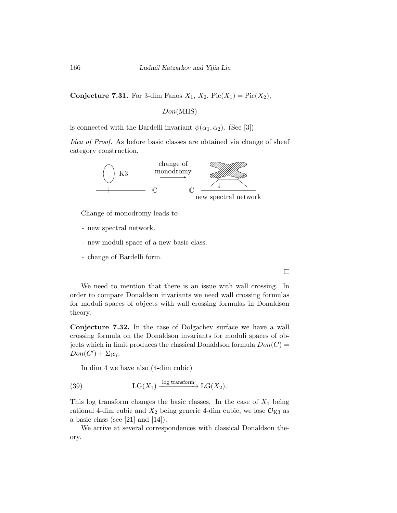**Conjecture 7.31.** For 3-dim Fanos  $X_1$ ,  $X_2$ ,  $Pic(X_1) = Pic(X_2)$ ,

Don(MHS)

is connected with the Bardelli invariant  $\psi(\alpha_1, \alpha_2)$ . (See [\[3\]](#page-51-10)).

Idea of Proof. As before basic classes are obtained via change of sheaf category construction.



Change of monodromy leads to

- new spectral network.
- new moduli space of a new basic class.
- change of Bardelli form.

 $\Box$ 

We need to mention that there is an issue with wall crossing. In order to compare Donaldson invariants we need wall crossing formulas for moduli spaces of objects with wall crossing formulas in Donaldson theory.

Conjecture 7.32. In the case of Dolgachev surface we have a wall crossing formula on the Donaldson invariants for moduli spaces of objects which in limit produces the classical Donaldson formula  $Don(C) =$  $Don(C') + \sum_i e_i.$ 

In dim 4 we have also (4-dim cubic)

(39) 
$$
LG(X_1) \xrightarrow{\log \text{transform}} LG(X_2).
$$

This log transform changes the basic classes. In the case of  $X_1$  being rational 4-dim cubic and  $X_2$  being generic 4-dim cubic, we lose  $\mathcal{O}_{K3}$  as a basic class (see [\[21\]](#page-52-8) and [\[14\]](#page-51-5)).

We arrive at several correspondences with classical Donaldson theory.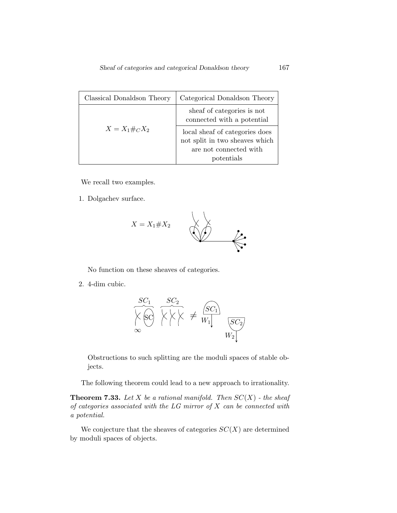| Classical Donaldson Theory | Categorical Donaldson Theory                                                                             |
|----------------------------|----------------------------------------------------------------------------------------------------------|
|                            | sheaf of categories is not<br>connected with a potential                                                 |
| $X = X_1 \#_C X_2$         | local sheaf of categories does<br>not split in two sheaves which<br>are not connected with<br>potentials |

We recall two examples.

1. Dolgachev surface.



No function on these sheaves of categories.

2. 4-dim cubic.



Obstructions to such splitting are the moduli spaces of stable objects.

The following theorem could lead to a new approach to irrationality.

**Theorem 7.33.** Let X be a rational manifold. Then  $SC(X)$  - the sheaf of categories associated with the  $LG$  mirror of  $X$  can be connected with a potential.

We conjecture that the sheaves of categories  $SC(X)$  are determined by moduli spaces of objects.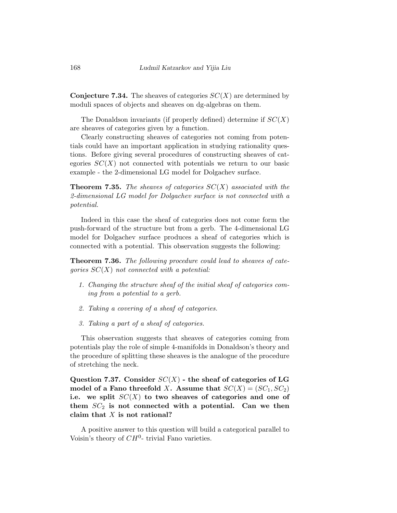**Conjecture 7.34.** The sheaves of categories  $SC(X)$  are determined by moduli spaces of objects and sheaves on dg-algebras on them.

The Donaldson invariants (if properly defined) determine if  $SC(X)$ are sheaves of categories given by a function.

Clearly constructing sheaves of categories not coming from potentials could have an important application in studying rationality questions. Before giving several procedures of constructing sheaves of categories  $SC(X)$  not connected with potentials we return to our basic example - the 2-dimensional LG model for Dolgachev surface.

**Theorem 7.35.** The sheaves of categories  $SC(X)$  associated with the 2-dimensional LG model for Dolgachev surface is not connected with a potential.

Indeed in this case the sheaf of categories does not come form the push-forward of the structure but from a gerb. The 4-dimensional LG model for Dolgachev surface produces a sheaf of categories which is connected with a potential. This observation suggests the following:

Theorem 7.36. The following procedure could lead to sheaves of categories  $SC(X)$  not connected with a potential:

- 1. Changing the structure sheaf of the initial sheaf of categories coming from a potential to a gerb.
- 2. Taking a covering of a sheaf of categories.
- 3. Taking a part of a sheaf of categories.

This observation suggests that sheaves of categories coming from potentials play the role of simple 4-manifolds in Donaldson's theory and the procedure of splitting these sheaves is the analogue of the procedure of stretching the neck.

Question 7.37. Consider  $SC(X)$  - the sheaf of categories of LG model of a Fano threefold X. Assume that  $SC(X) = (SC_1, SC_2)$ i.e. we split  $SC(X)$  to two sheaves of categories and one of them  $SC_2$  is not connected with a potential. Can we then claim that  $X$  is not rational?

A positive answer to this question will build a categorical parallel to Voisin's theory of  $CH<sup>0</sup>$ - trivial Fano varieties.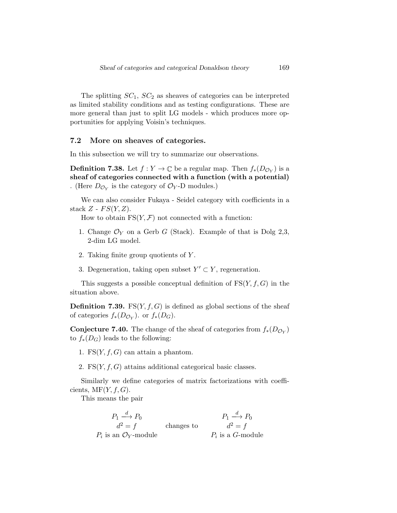The splitting  $SC_1$ ,  $SC_2$  as sheaves of categories can be interpreted as limited stability conditions and as testing configurations. These are more general than just to split LG models - which produces more opportunities for applying Voisin's techniques.

#### 7.2 More on sheaves of categories.

In this subsection we will try to summarize our observations.

**Definition 7.38.** Let  $f: Y \to \mathbb{C}$  be a regular map. Then  $f_*(D_{\mathcal{O}_Y})$  is a sheaf of categories connected with a function (with a potential) . (Here  $D_{\mathcal{O}_Y}$  is the category of  $\mathcal{O}_Y$ -D modules.)

We can also consider Fukaya - Seidel category with coefficients in a stack  $Z$  -  $FS(Y, Z)$ .

How to obtain  $FS(Y, \mathcal{F})$  not connected with a function:

- 1. Change  $\mathcal{O}_Y$  on a Gerb G (Stack). Example of that is Dolg 2,3, 2-dim LG model.
- 2. Taking finite group quotients of Y .
- 3. Degeneration, taking open subset  $Y' \subset Y$ , regeneration.

This suggests a possible conceptual definition of  $FS(Y, f, G)$  in the situation above.

**Definition 7.39.** FS $(Y, f, G)$  is defined as global sections of the sheaf of categories  $f_*(D_{\mathcal{O}_Y})$ . or  $f_*(D_G)$ .

**Conjecture 7.40.** The change of the sheaf of categories from  $f_*(D_{\mathcal{O}_Y})$ to  $f_*(D_G)$  leads to the following:

1. FS $(Y, f, G)$  can attain a phantom.

2.  $\text{FS}(Y, f, G)$  attains additional categorical basic classes.

Similarly we define categories of matrix factorizations with coefficients,  $\text{MF}(Y, f, G)$ .

This means the pair

changes to  $P_1 \stackrel{d}{\longrightarrow} P_0$  $d^2 = f$  $P_i$  is an  $\mathcal{O}_Y$ -module  $P_1 \stackrel{d}{\longrightarrow} P_0$  $d^2 = f$  $P_i$  is a G-module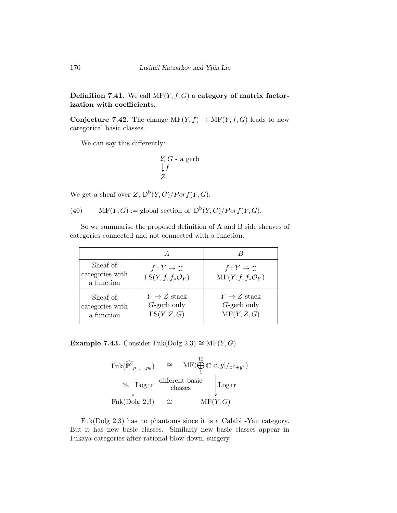### **Definition 7.41.** We call  $MF(Y, f, G)$  a category of matrix factorization with coefficients.

**Conjecture 7.42.** The change  $MF(Y, f) \rightarrow MF(Y, f, G)$  leads to new categorical basic classes.

We can say this differently:

$$
\begin{array}{c}\nY, G - a \text{ gerb} \\
\downarrow f \\
Z\n\end{array}
$$

We get a sheaf over  $Z$ ,  $D^b(Y, G)/Perf(Y, G)$ .

(40) MF(Y, G) := global section of  $D^b(Y, G)/Perf(Y, G)$ .

So we summarise the proposed definition of A and B side sheaves of categories connected and not connected with a function.

| Sheaf of<br>categories with<br>a function | $f:Y\to\mathbb{C}$<br>$\text{FS}(Y, f, f_*\mathcal{O}_Y)$ | $f:Y\to\mathbb{C}$<br>$\mathrm{MF}(Y, f, f_* \mathcal{O}_Y)$ |
|-------------------------------------------|-----------------------------------------------------------|--------------------------------------------------------------|
| Sheaf of<br>categories with<br>a function | $Y \rightarrow Z$ -stack<br>$G$ -gerb only<br>FS(Y, Z, G) | $Y \rightarrow Z$ -stack<br>$G$ -gerb only<br>MF(Y, Z, G)    |

Example 7.43. Consider Fuk(Dolg 2,3)  $\cong$  MF(Y, G).

$$
\mathrm{Fuk}(\widehat{\mathbb{P}^2}_{p_1,\ldots,p_9}) \cong \mathrm{MF}(\bigoplus_{1}^{12} \mathbb{C}[x,y]/_{x^2+y^2})
$$
  

$$
\Downarrow \left\downarrow \mathrm{Log\,tr} \quad \begin{array}{c}\text{different basic} \\ \text{classes}\end{array}\right\downarrow \mathrm{Log\,tr}
$$
  

$$
\mathrm{Fuk}(\mathrm{Dolg\,2,3}) \cong \mathrm{MF}(Y,G)
$$

Fuk(Dolg 2,3) has no phantoms since it is a Calabi -Yau category. But it has new basic classes. Similarly new basic classes appear in Fukaya categories after rational blow-down, surgery.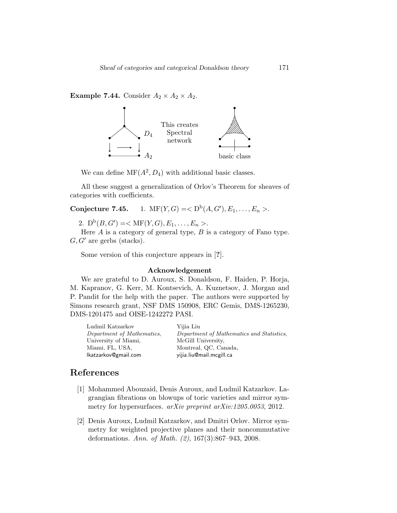### **Example 7.44.** Consider  $A_2 \times A_2 \times A_2$ .



We can define  $\mathrm{MF}(A^2, D_4)$  with additional basic classes.

All these suggest a generalization of Orlov's Theorem for sheaves of categories with coefficients.

## Conjecture 7.45. 1.  $\text{MF}(Y, G) = \langle D^b(A, G'), E_1, \ldots, E_n \rangle$ .

2.  $D^b(B, G') = \langle \text{MF}(Y, G), E_1, \dots, E_n \rangle.$ 

Here  $A$  is a category of general type,  $B$  is a category of Fano type.  $G, G'$  are gerbs (stacks).

Some version of this conjecture appears in [?].

#### Acknowledgement

We are grateful to D. Auroux, S. Donaldson, F. Haiden, P. Horja, M. Kapranov, G. Kerr, M. Kontsevich, A. Kuznetsov, J. Morgan and P. Pandit for the help with the paper. The authors were supported by Simons research grant, NSF DMS 150908, ERC Gemis, DMS-1265230, DMS-1201475 and OISE-1242272 PASI.

| Ludmil Katzarkov           | Yijia Liu                                 |
|----------------------------|-------------------------------------------|
| Department of Mathematics, | Department of Mathematics and Statistics, |
| University of Miami,       | McGill University.                        |
| Miami, FL, USA,            | Montreal, QC, Canada,                     |
| lkatzarkov@gmail.com       | vijia.liu@mail.mcgill.ca                  |
|                            |                                           |

## References

- <span id="page-50-1"></span>[1] Mohammed Abouzaid, Denis Auroux, and Ludmil Katzarkov. Lagrangian fibrations on blowups of toric varieties and mirror symmetry for hypersurfaces. arXiv preprint arXiv:1205.0053, 2012.
- <span id="page-50-0"></span>[2] Denis Auroux, Ludmil Katzarkov, and Dmitri Orlov. Mirror symmetry for weighted projective planes and their noncommutative deformations. Ann. of Math. (2), 167(3):867–943, 2008.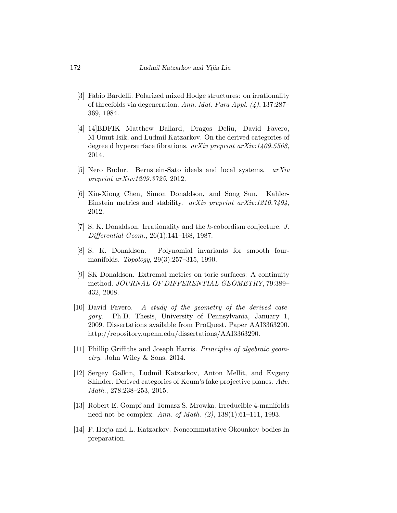- <span id="page-51-10"></span>[3] Fabio Bardelli. Polarized mixed Hodge structures: on irrationality of threefolds via degeneration. Ann. Mat. Pura Appl. (4), 137:287– 369, 1984.
- [4] 14]BDFIK Matthew Ballard, Dragos Deliu, David Favero, M Umut Isik, and Ludmil Katzarkov. On the derived categories of degree d hypersurface fibrations. arXiv preprint arXiv:1409.5568, 2014.
- <span id="page-51-4"></span>[5] Nero Budur. Bernstein-Sato ideals and local systems. arXiv preprint arXiv:1209.3725, 2012.
- <span id="page-51-7"></span>[6] Xiu-Xiong Chen, Simon Donaldson, and Song Sun. Kahler-Einstein metrics and stability. arXiv preprint arXiv:1210.7494, 2012.
- <span id="page-51-2"></span>[7] S. K. Donaldson. Irrationality and the h-cobordism conjecture. J. Differential Geom., 26(1):141–168, 1987.
- <span id="page-51-1"></span>[8] S. K. Donaldson. Polynomial invariants for smooth fourmanifolds. Topology, 29(3):257–315, 1990.
- <span id="page-51-0"></span>[9] SK Donaldson. Extremal metrics on toric surfaces: A continuity method. JOURNAL OF DIFFERENTIAL GEOMETRY, 79:389– 432, 2008.
- <span id="page-51-3"></span>[10] David Favero. A study of the geometry of the derived category. Ph.D. Thesis, University of Pennsylvania, January 1, 2009. Dissertations available from ProQuest. Paper AAI3363290. http://repository.upenn.edu/dissertations/AAI3363290.
- <span id="page-51-6"></span>[11] Phillip Griffiths and Joseph Harris. Principles of algebraic geometry. John Wiley & Sons, 2014.
- <span id="page-51-8"></span>[12] Sergey Galkin, Ludmil Katzarkov, Anton Mellit, and Evgeny Shinder. Derived categories of Keum's fake projective planes. Adv. Math., 278:238–253, 2015.
- <span id="page-51-9"></span>[13] Robert E. Gompf and Tomasz S. Mrowka. Irreducible 4-manifolds need not be complex. Ann. of Math. (2), 138(1):61–111, 1993.
- <span id="page-51-5"></span>[14] P. Horja and L. Katzarkov. Noncommutative Okounkov bodies In preparation.